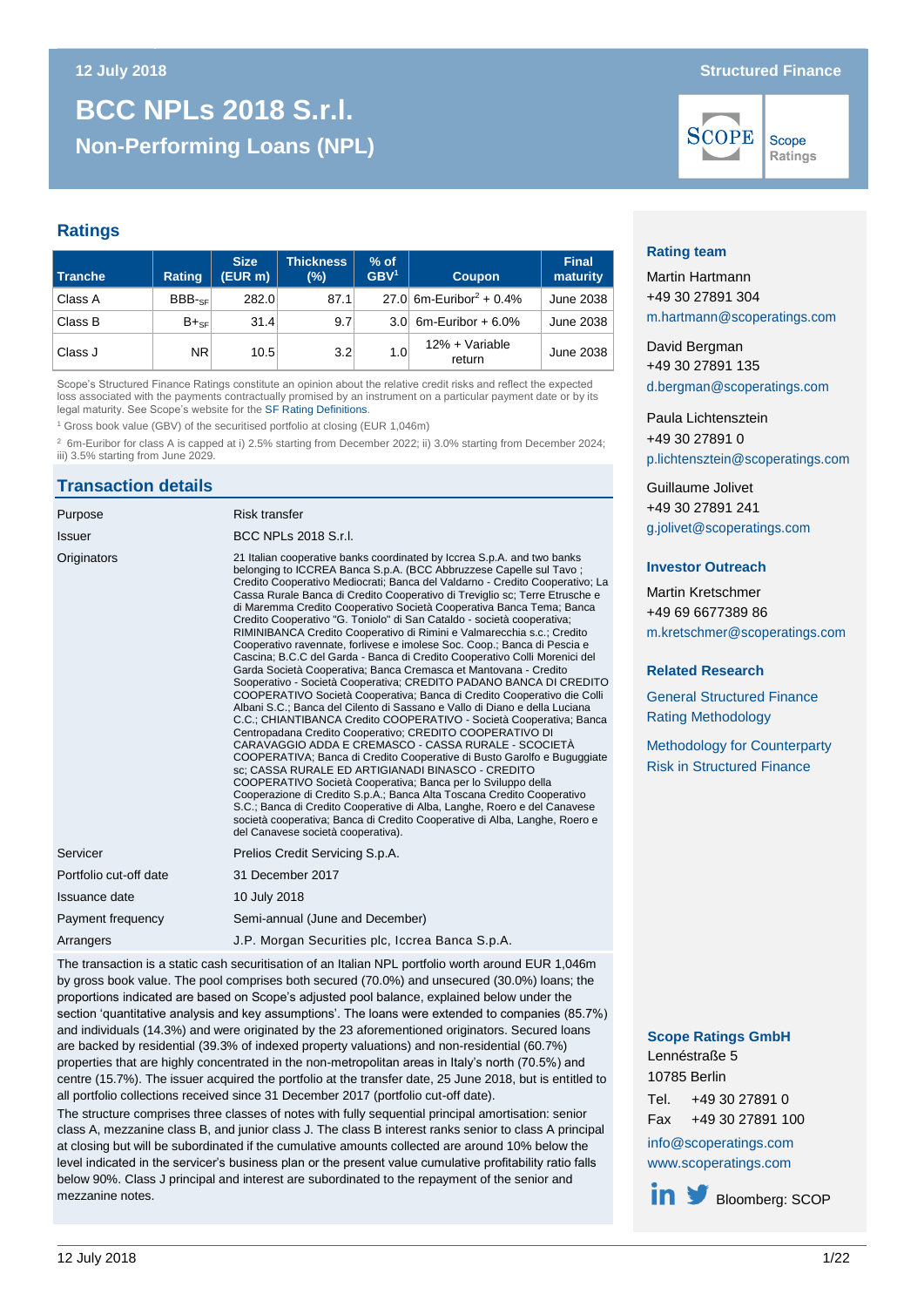# **Non-Performing Loans (NPL) BCC NPLs 2018 S.r.l. Non-Performing Loans (NPL)**

#### **Ratings**

| Tranche | Rating    | <b>Size</b><br>$(EUR \, m)$ | <b>Thickness</b><br>(%) | $%$ of<br>GBV <sup>1</sup> | <b>Coupon</b>                       |           |
|---------|-----------|-----------------------------|-------------------------|----------------------------|-------------------------------------|-----------|
| Class A | $BBB-sF$  | 282.0                       | 87.1                    |                            | 27.0 6m-Euribor <sup>2</sup> + 0.4% | June 2038 |
| Class B | $B+_{SF}$ | 31.4                        | 9.7                     |                            | 3.0 6m-Euribor + $6.0\%$            | June 2038 |
| Class J | NR.       | 10.5                        | 3.2                     | 1.0                        | 12% + Variable<br>return            | June 2038 |

Scope's Structured Finance Ratings constitute an opinion about the relative credit risks and reflect the expected loss associated with the payments contractually promised by an instrument on a particular payment date or by its legal maturity. See Scope's website for the SF [Rating Definitions.](http://www.scoperatings.com/governance-and-policies/rating-governance/rating-definitions-structured-finance) 

<sup>1</sup> Gross book value (GBV) of the securitised portfolio at closing (EUR 1,046m)

<sup>2</sup> 6m-Euribor for class A is capped at i) 2.5% starting from December 2022; ii) 3.0% starting from December 2024; iii) 3.5% starting from June 2029.

## **Transaction details**

| Purpose                | <b>Risk transfer</b>                                                                                                                                                                                                                                                                                                                                                                                                                                                                                                                                                                                                                                                                                                                                                                                                                                                                                                                                                                                                                                                                                                                                                                                                                                                                                                                                                                                                                                                                                                                                                                                                                                                       |
|------------------------|----------------------------------------------------------------------------------------------------------------------------------------------------------------------------------------------------------------------------------------------------------------------------------------------------------------------------------------------------------------------------------------------------------------------------------------------------------------------------------------------------------------------------------------------------------------------------------------------------------------------------------------------------------------------------------------------------------------------------------------------------------------------------------------------------------------------------------------------------------------------------------------------------------------------------------------------------------------------------------------------------------------------------------------------------------------------------------------------------------------------------------------------------------------------------------------------------------------------------------------------------------------------------------------------------------------------------------------------------------------------------------------------------------------------------------------------------------------------------------------------------------------------------------------------------------------------------------------------------------------------------------------------------------------------------|
| Issuer                 | BCC NPLs 2018 S.r.I.                                                                                                                                                                                                                                                                                                                                                                                                                                                                                                                                                                                                                                                                                                                                                                                                                                                                                                                                                                                                                                                                                                                                                                                                                                                                                                                                                                                                                                                                                                                                                                                                                                                       |
| Originators            | 21 Italian cooperative banks coordinated by Iccrea S.p.A. and two banks<br>belonging to ICCREA Banca S.p.A. (BCC Abbruzzese Capelle sul Tavo;<br>Credito Cooperativo Mediocrati: Banca del Valdarno - Credito Cooperativo: La<br>Cassa Rurale Banca di Credito Cooperativo di Treviglio sc; Terre Etrusche e<br>di Maremma Credito Cooperativo Società Cooperativa Banca Tema; Banca<br>Credito Cooperativo "G. Toniolo" di San Cataldo - società cooperativa;<br>RIMINIBANCA Credito Cooperativo di Rimini e Valmarecchia s.c.; Credito<br>Cooperativo ravennate, forlivese e imolese Soc. Coop.; Banca di Pescia e<br>Cascina; B.C.C del Garda - Banca di Credito Cooperativo Colli Morenici del<br>Garda Società Cooperativa; Banca Cremasca et Mantovana - Credito<br>Sooperativo - Società Cooperativa; CREDITO PADANO BANCA DI CREDITO<br>COOPERATIVO Società Cooperativa; Banca di Credito Cooperativo die Colli<br>Albani S.C.; Banca del Cilento di Sassano e Vallo di Diano e della Luciana<br>C.C.; CHIANTIBANCA Credito COOPERATIVO - Società Cooperativa; Banca<br>Centropadana Credito Cooperativo; CREDITO COOPERATIVO DI<br>CARAVAGGIO ADDA E CREMASCO - CASSA RURALE - SCOCIETÀ<br>COOPERATIVA; Banca di Credito Cooperative di Busto Garolfo e Buguggiate<br>sc: CASSA RURALE ED ARTIGIANADI BINASCO - CREDITO<br>COOPERATIVO Società Cooperativa; Banca per lo Sviluppo della<br>Cooperazione di Credito S.p.A.; Banca Alta Toscana Credito Cooperativo<br>S.C.; Banca di Credito Cooperative di Alba, Langhe, Roero e del Canavese<br>società cooperativa; Banca di Credito Cooperative di Alba, Langhe, Roero e<br>del Canavese società cooperativa). |
| Servicer               | Prelios Credit Servicing S.p.A.                                                                                                                                                                                                                                                                                                                                                                                                                                                                                                                                                                                                                                                                                                                                                                                                                                                                                                                                                                                                                                                                                                                                                                                                                                                                                                                                                                                                                                                                                                                                                                                                                                            |
| Portfolio cut-off date | 31 December 2017                                                                                                                                                                                                                                                                                                                                                                                                                                                                                                                                                                                                                                                                                                                                                                                                                                                                                                                                                                                                                                                                                                                                                                                                                                                                                                                                                                                                                                                                                                                                                                                                                                                           |
| Issuance date          | 10 July 2018                                                                                                                                                                                                                                                                                                                                                                                                                                                                                                                                                                                                                                                                                                                                                                                                                                                                                                                                                                                                                                                                                                                                                                                                                                                                                                                                                                                                                                                                                                                                                                                                                                                               |
| Payment frequency      | Semi-annual (June and December)                                                                                                                                                                                                                                                                                                                                                                                                                                                                                                                                                                                                                                                                                                                                                                                                                                                                                                                                                                                                                                                                                                                                                                                                                                                                                                                                                                                                                                                                                                                                                                                                                                            |
| Arrangers              | J.P. Morgan Securities plc, Iccrea Banca S.p.A.                                                                                                                                                                                                                                                                                                                                                                                                                                                                                                                                                                                                                                                                                                                                                                                                                                                                                                                                                                                                                                                                                                                                                                                                                                                                                                                                                                                                                                                                                                                                                                                                                            |

The transaction is a static cash securitisation of an Italian NPL portfolio worth around EUR 1,046m by gross book value. The pool comprises both secured (70.0%) and unsecured (30.0%) loans; the proportions indicated are based on Scope's adjusted pool balance, explained below under the section 'quantitative analysis and key assumptions'. The loans were extended to companies (85.7%) and individuals (14.3%) and were originated by the 23 aforementioned originators. Secured loans are backed by residential (39.3% of indexed property valuations) and non-residential (60.7%) properties that are highly concentrated in the non-metropolitan areas in Italy's north (70.5%) and centre (15.7%). The issuer acquired the portfolio at the transfer date, 25 June 2018, but is entitled to all portfolio collections received since 31 December 2017 (portfolio cut-off date).

The structure comprises three classes of notes with fully sequential principal amortisation: senior class A, mezzanine class B, and junior class J. The class B interest ranks senior to class A principal at closing but will be subordinated if the cumulative amounts collected are around 10% below the level indicated in the servicer's business plan or the present value cumulative profitability ratio falls below 90%. Class J principal and interest are subordinated to the repayment of the senior and mezzanine notes.

#### **12 July 2018 Structured Finance**



Scope Ratings

#### **Rating team**

Martin Hartmann +49 30 27891 304 [m.hartmann@scoperatings.com](mailto:m.hartmann@scoperatings.com)

David Bergman +49 30 27891 135 [d.bergman@scoperatings.com](mailto:d.bergman@scoperatings.com)

Paula Lichtensztein +49 30 27891 0 [p.lichtensztein@scoperatings.com](mailto:p.lichtensztein@scoperatings.com)

Guillaume Jolivet +49 30 27891 241 [g.jolivet@scoperatings.com](mailto:g.jolivet@scoperatings.com)

#### **Investor Outreach**

Martin Kretschmer +49 69 6677389 86 [m.kretschmer@scoperatings.com](mailto:m.kretschmer@scoperatings.com)

#### **Related Research**

[General Structured Finance](https://www.scoperatings.com/ScopeRatingsApi/api/downloadmethodology?id=8f6dc4fe-71e6-4946-bc27-3e84585c0a38) [Rating Methodology](https://www.scoperatings.com/ScopeRatingsApi/api/downloadmethodology?id=8f6dc4fe-71e6-4946-bc27-3e84585c0a38)

[Methodology for Counterparty](https://www.scoperatings.com/ScopeRatingsApi/api/downloadmethodology?id=2c0bf689-0532-475c-99b4-8dd05120176a)  [Risk in Structured Finance](https://www.scoperatings.com/ScopeRatingsApi/api/downloadmethodology?id=2c0bf689-0532-475c-99b4-8dd05120176a)

#### **Scope Ratings GmbH** Lennéstraße 5

10785 Berlin

Tel. +49 30 27891 0 Fax +49 30 27891 100 [info@scoperatings.com](mailto:info@scoperatings.com) [www.scoperatings.com](https://www.scoperatings.com/#home)

 $\mathbf{in}$   $\mathbf{y}$ Bloomberg: SCOP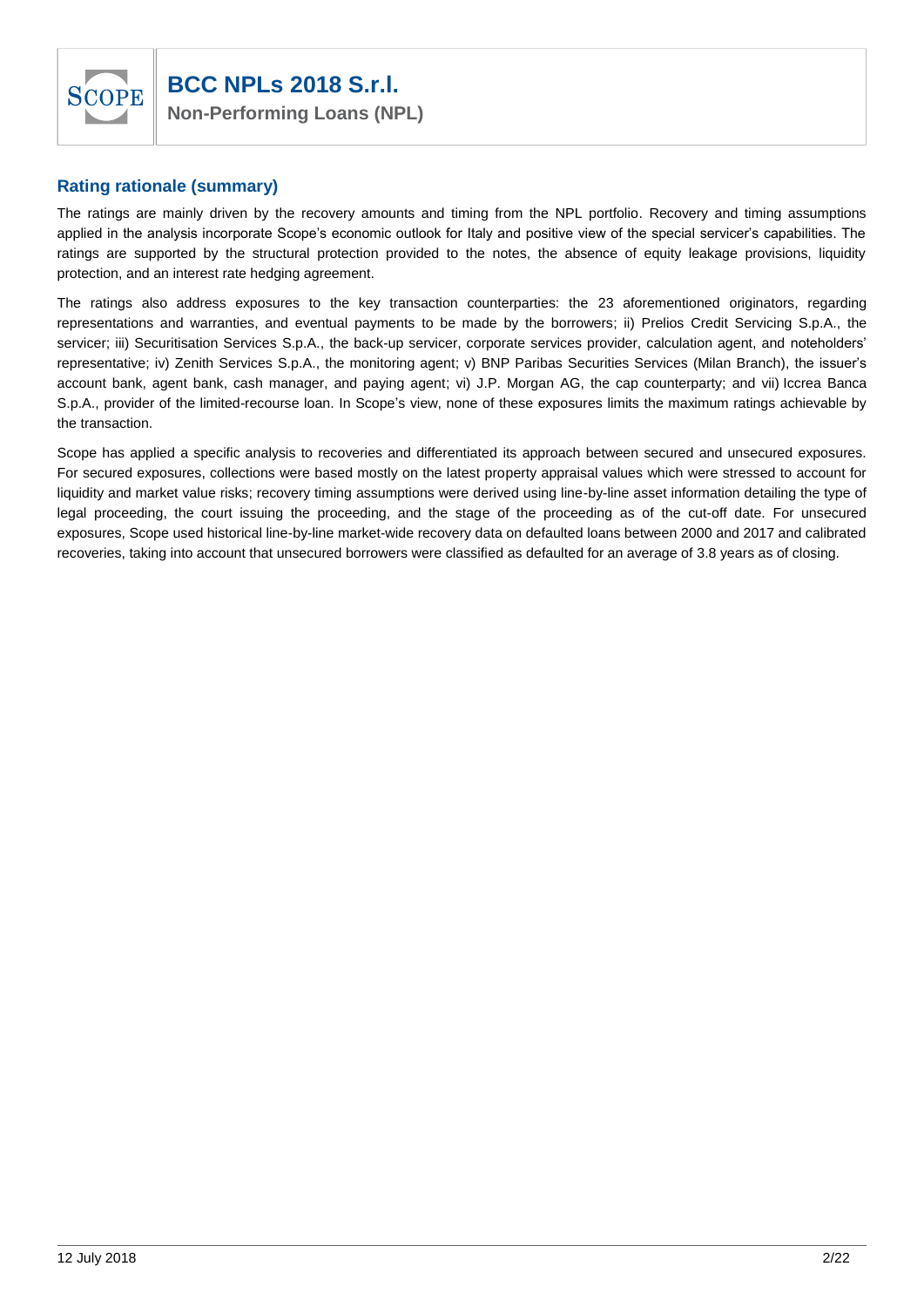

## **Rating rationale (summary)**

The ratings are mainly driven by the recovery amounts and timing from the NPL portfolio. Recovery and timing assumptions applied in the analysis incorporate Scope's economic outlook for Italy and positive view of the special servicer's capabilities. The ratings are supported by the structural protection provided to the notes, the absence of equity leakage provisions, liquidity protection, and an interest rate hedging agreement.

The ratings also address exposures to the key transaction counterparties: the 23 aforementioned originators, regarding representations and warranties, and eventual payments to be made by the borrowers; ii) Prelios Credit Servicing S.p.A., the servicer; iii) Securitisation Services S.p.A., the back-up servicer, corporate services provider, calculation agent, and noteholders' representative; iv) Zenith Services S.p.A., the monitoring agent; v) BNP Paribas Securities Services (Milan Branch), the issuer's account bank, agent bank, cash manager, and paying agent; vi) J.P. Morgan AG, the cap counterparty; and vii) Iccrea Banca S.p.A., provider of the limited-recourse loan. In Scope's view, none of these exposures limits the maximum ratings achievable by the transaction.

Scope has applied a specific analysis to recoveries and differentiated its approach between secured and unsecured exposures. For secured exposures, collections were based mostly on the latest property appraisal values which were stressed to account for liquidity and market value risks; recovery timing assumptions were derived using line-by-line asset information detailing the type of legal proceeding, the court issuing the proceeding, and the stage of the proceeding as of the cut-off date. For unsecured exposures, Scope used historical line-by-line market-wide recovery data on defaulted loans between 2000 and 2017 and calibrated recoveries, taking into account that unsecured borrowers were classified as defaulted for an average of 3.8 years as of closing.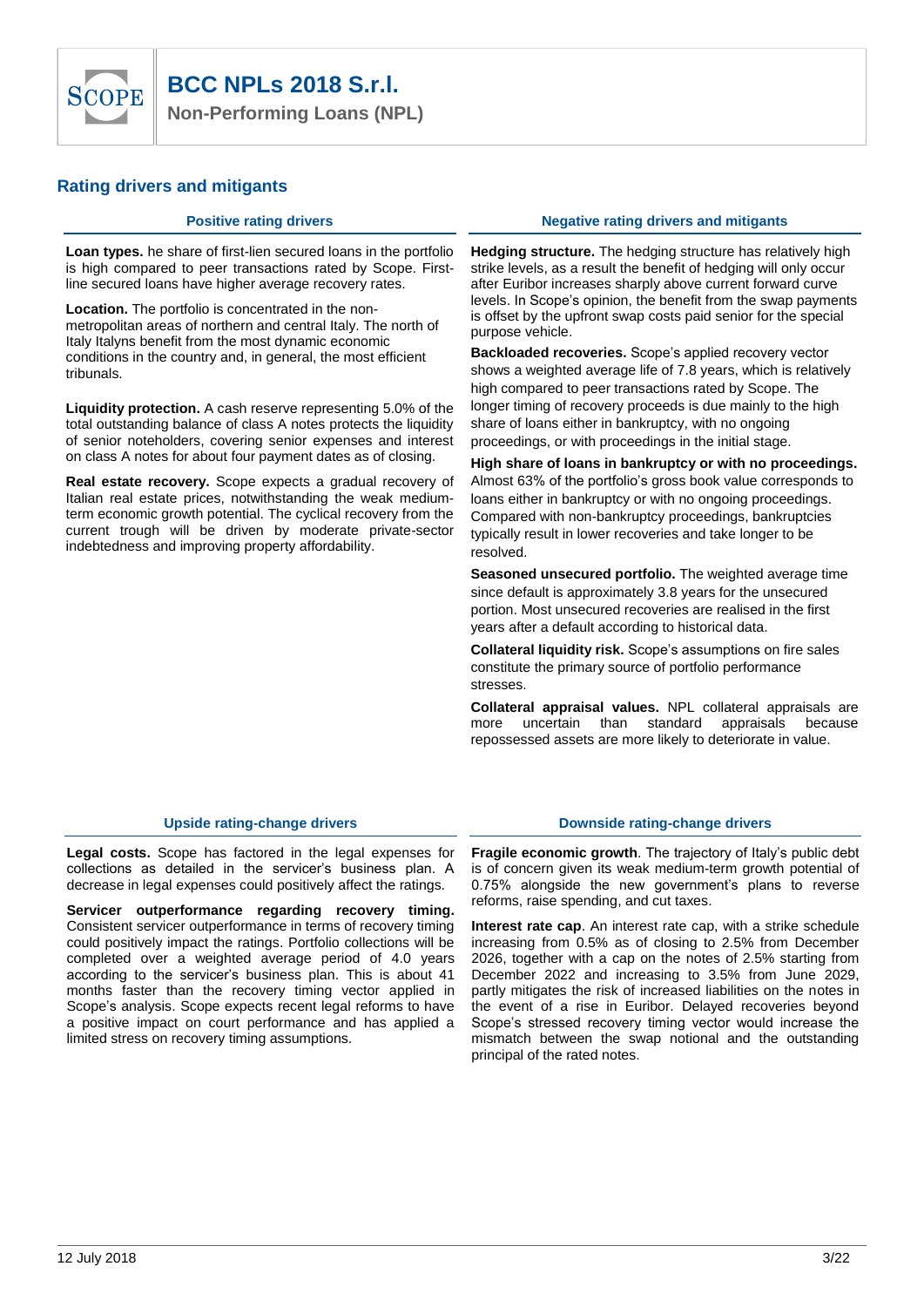

#### **Rating drivers and mitigants**

**Loan types.** he share of first-lien secured loans in the portfolio is high compared to peer transactions rated by Scope. Firstline secured loans have higher average recovery rates.

**Location.** The portfolio is concentrated in the nonmetropolitan areas of northern and central Italy. The north of Italy Italyns benefit from the most dynamic economic conditions in the country and, in general, the most efficient tribunals.

**Liquidity protection.** A cash reserve representing 5.0% of the total outstanding balance of class A notes protects the liquidity of senior noteholders, covering senior expenses and interest on class A notes for about four payment dates as of closing.

**Real estate recovery.** Scope expects a gradual recovery of Italian real estate prices, notwithstanding the weak mediumterm economic growth potential. The cyclical recovery from the current trough will be driven by moderate private-sector indebtedness and improving property affordability.

#### **Positive rating drivers <b>Negative Research Positive rating drivers and mitigants**

**Hedging structure.** The hedging structure has relatively high strike levels, as a result the benefit of hedging will only occur after Euribor increases sharply above current forward curve levels. In Scope's opinion, the benefit from the swap payments is offset by the upfront swap costs paid senior for the special purpose vehicle.

**Backloaded recoveries.** Scope's applied recovery vector shows a weighted average life of 7.8 years, which is relatively high compared to peer transactions rated by Scope. The longer timing of recovery proceeds is due mainly to the high share of loans either in bankruptcy, with no ongoing proceedings, or with proceedings in the initial stage.

**High share of loans in bankruptcy or with no proceedings.** Almost 63% of the portfolio's gross book value corresponds to loans either in bankruptcy or with no ongoing proceedings. Compared with non-bankruptcy proceedings, bankruptcies typically result in lower recoveries and take longer to be resolved.

**Seasoned unsecured portfolio.** The weighted average time since default is approximately 3.8 years for the unsecured portion. Most unsecured recoveries are realised in the first years after a default according to historical data.

**Collateral liquidity risk.** Scope's assumptions on fire sales constitute the primary source of portfolio performance stresses.

**Collateral appraisal values.** NPL collateral appraisals are more uncertain than standard appraisals because repossessed assets are more likely to deteriorate in value.

**Legal costs.** Scope has factored in the legal expenses for collections as detailed in the servicer's business plan. A decrease in legal expenses could positively affect the ratings.

**Servicer outperformance regarding recovery timing.**  Consistent servicer outperformance in terms of recovery timing could positively impact the ratings. Portfolio collections will be completed over a weighted average period of 4.0 years according to the servicer's business plan. This is about 41 months faster than the recovery timing vector applied in Scope's analysis. Scope expects recent legal reforms to have a positive impact on court performance and has applied a limited stress on recovery timing assumptions.

#### **Upside rating-change drivers Downside rating-change drivers**

**Fragile economic growth**. The trajectory of Italy's public debt is of concern given its weak medium-term growth potential of 0.75% alongside the new government's plans to reverse reforms, raise spending, and cut taxes.

**Interest rate cap**. An interest rate cap, with a strike schedule increasing from 0.5% as of closing to 2.5% from December 2026, together with a cap on the notes of 2.5% starting from December 2022 and increasing to 3.5% from June 2029, partly mitigates the risk of increased liabilities on the notes in the event of a rise in Euribor. Delayed recoveries beyond Scope's stressed recovery timing vector would increase the mismatch between the swap notional and the outstanding principal of the rated notes.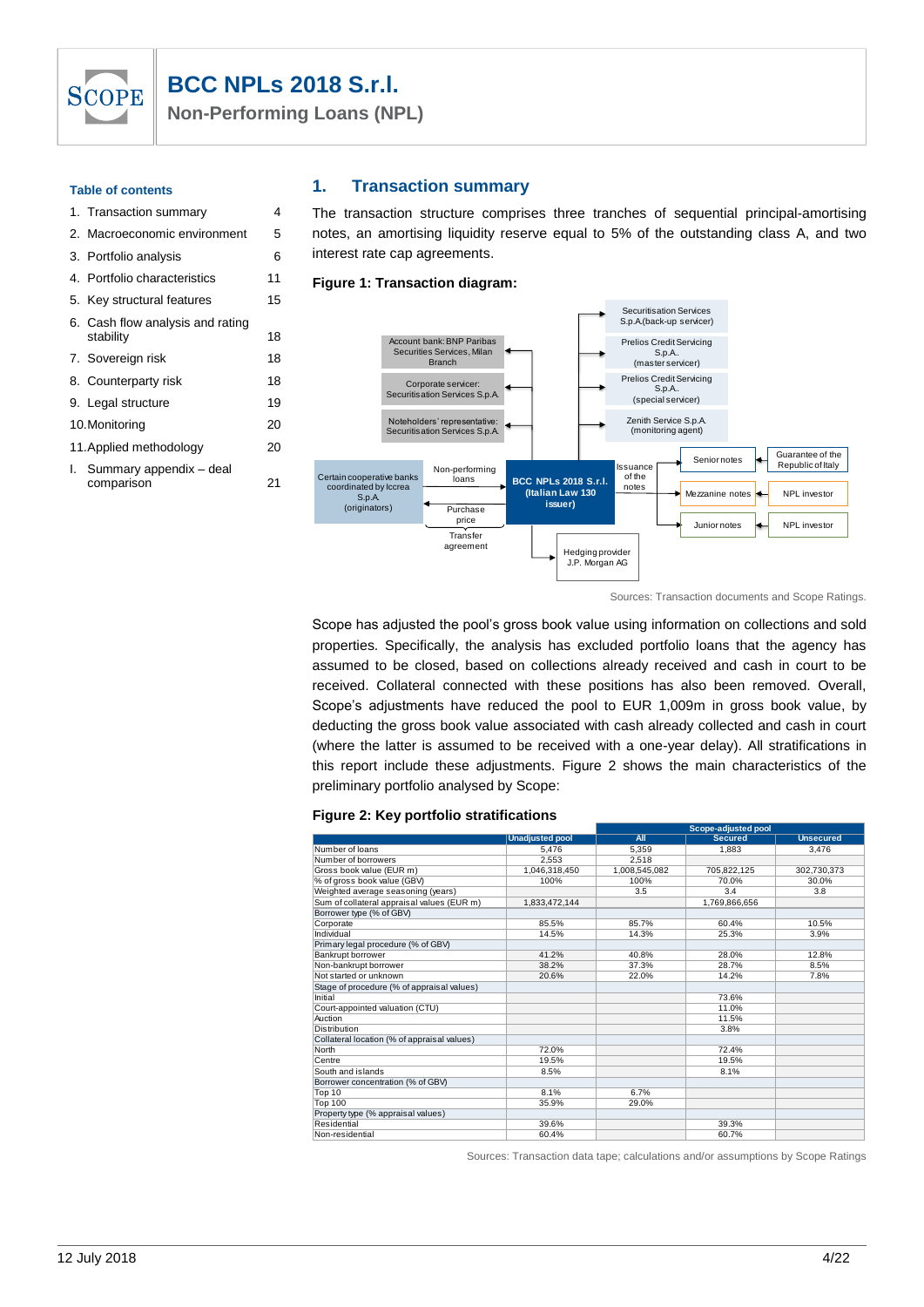## **BCC NPLs 2018 S.r.l.**

**Non-Performing Loans (NPL)**

#### **Table of contents**

**SCOPE** 

## 1. Transaction summary 4 2. Macroeconomic environment 5 3. Portfolio analysis 6 4. Portfolio characteristics 11 5. Key structural features 15 6. Cash flow analysis and rating stability 18 7. Sovereign risk 18 8. Counterparty risk 18 9. Legal structure 19 10.Monitoring 20 11.Applied methodology 20 I. Summary appendix – deal

comparison 21

Certain cooperative banks coordinated by Iccrea S.p.A. (originators) Securitisation Services S.p.A.(back-up servicer) Purchase price **Transfer** agreement ssuance of the notes Senior notes Mezzanine notes Junior notes Non-performing loans Account bank: BNP Paribas Securities Services, Milan Branch Corporate servicer: Securitisation Services S.p.A. Hedging provider J.P. Morgan AG Guarantee of the Republic of Italy Noteholders' representative: Securitisation Services S.p.A. NPL investor Prelios Credit Servicing<br>S.p.A.<br>(master servicer)<br>Prelios Credit Servicing S.p.A.. (special servicer) NPL investor Zenith Service S.p.A. (monitoring agent) **BCC NPLs 2018 S.r.l. (Italian Law 130 issuer)** Securitisation Services<br>S.p.A.(back-up servicer)<br>Prelios Credit Servicing<br>S.p.A. S.p.A. (master servicer)

The transaction structure comprises three tranches of sequential principal-amortising notes, an amortising liquidity reserve equal to 5% of the outstanding class A, and two

Sources: Transaction documents and Scope Ratings.

Scope has adjusted the pool's gross book value using information on collections and sold properties. Specifically, the analysis has excluded portfolio loans that the agency has assumed to be closed, based on collections already received and cash in court to be received. Collateral connected with these positions has also been removed. Overall, Scope's adjustments have reduced the pool to EUR 1,009m in gross book value, by deducting the gross book value associated with cash already collected and cash in court (where the latter is assumed to be received with a one-year delay). All stratifications in this report include these adjustments. Figure 2 shows the main characteristics of the preliminary portfolio analysed by Scope:

#### **Figure 2: Key portfolio stratifications**

**1. Transaction summary**

interest rate cap agreements. **Figure 1: Transaction diagram:**

|                                             |                        | Scope-adjusted pool |                |                  |  |  |  |
|---------------------------------------------|------------------------|---------------------|----------------|------------------|--|--|--|
|                                             | <b>Unadjusted pool</b> | All                 | <b>Secured</b> | <b>Unsecured</b> |  |  |  |
| Number of loans                             | 5.476                  | 5.359               | 1.883          | 3.476            |  |  |  |
| Number of borrowers                         | 2.553                  | 2.518               |                |                  |  |  |  |
| Gross book value (EUR m)                    | 1,046,318,450          | 1,008,545,082       | 705,822,125    | 302,730,373      |  |  |  |
| % of gross book value (GBV)                 | 100%                   | 100%                | 70.0%          | 30.0%            |  |  |  |
| Weighted average seasoning (years)          |                        | 3.5                 | 3.4            | 3.8              |  |  |  |
| Sum of collateral appraisal values (EUR m)  | 1,833,472,144          |                     | 1,769,866,656  |                  |  |  |  |
| Borrower type (% of GBV)                    |                        |                     |                |                  |  |  |  |
| Corporate                                   | 85.5%                  | 85.7%               | 60.4%          | 10.5%            |  |  |  |
| Individual                                  | 14.5%                  | 14.3%               | 25.3%          | 3.9%             |  |  |  |
| Primary legal procedure (% of GBV)          |                        |                     |                |                  |  |  |  |
| Bankrupt borrower                           | 41.2%                  | 40.8%               | 28.0%          | 12.8%            |  |  |  |
| Non-bankrupt borrower                       | 38.2%                  | 37.3%               | 28.7%          | 8.5%             |  |  |  |
| Not started or unknown                      | 20.6%                  | 22.0%               | 14.2%          | 7.8%             |  |  |  |
| Stage of procedure (% of appraisal values)  |                        |                     |                |                  |  |  |  |
| Initial                                     |                        |                     | 73.6%          |                  |  |  |  |
| Court-appointed valuation (CTU)             |                        |                     | 11.0%          |                  |  |  |  |
| Auction                                     |                        |                     | 11.5%          |                  |  |  |  |
| <b>Distribution</b>                         |                        |                     | 3.8%           |                  |  |  |  |
| Collateral location (% of appraisal values) |                        |                     |                |                  |  |  |  |
| North                                       | 72.0%                  |                     | 72.4%          |                  |  |  |  |
| Centre                                      | 19.5%                  |                     | 19.5%          |                  |  |  |  |
| South and islands                           | 8.5%                   |                     | 8.1%           |                  |  |  |  |
| Borrower concentration (% of GBV)           |                        |                     |                |                  |  |  |  |
| Top 10                                      | 8.1%                   | 6.7%                |                |                  |  |  |  |
| <b>Top 100</b>                              | 35.9%                  | 29.0%               |                |                  |  |  |  |
| Property type (% appraisal values)          |                        |                     |                |                  |  |  |  |
| Residential                                 | 39.6%                  |                     | 39.3%          |                  |  |  |  |
| Non-residential                             | 60.4%                  |                     | 60.7%          |                  |  |  |  |

Sources: Transaction data tape; calculations and/or assumptions by Scope Ratings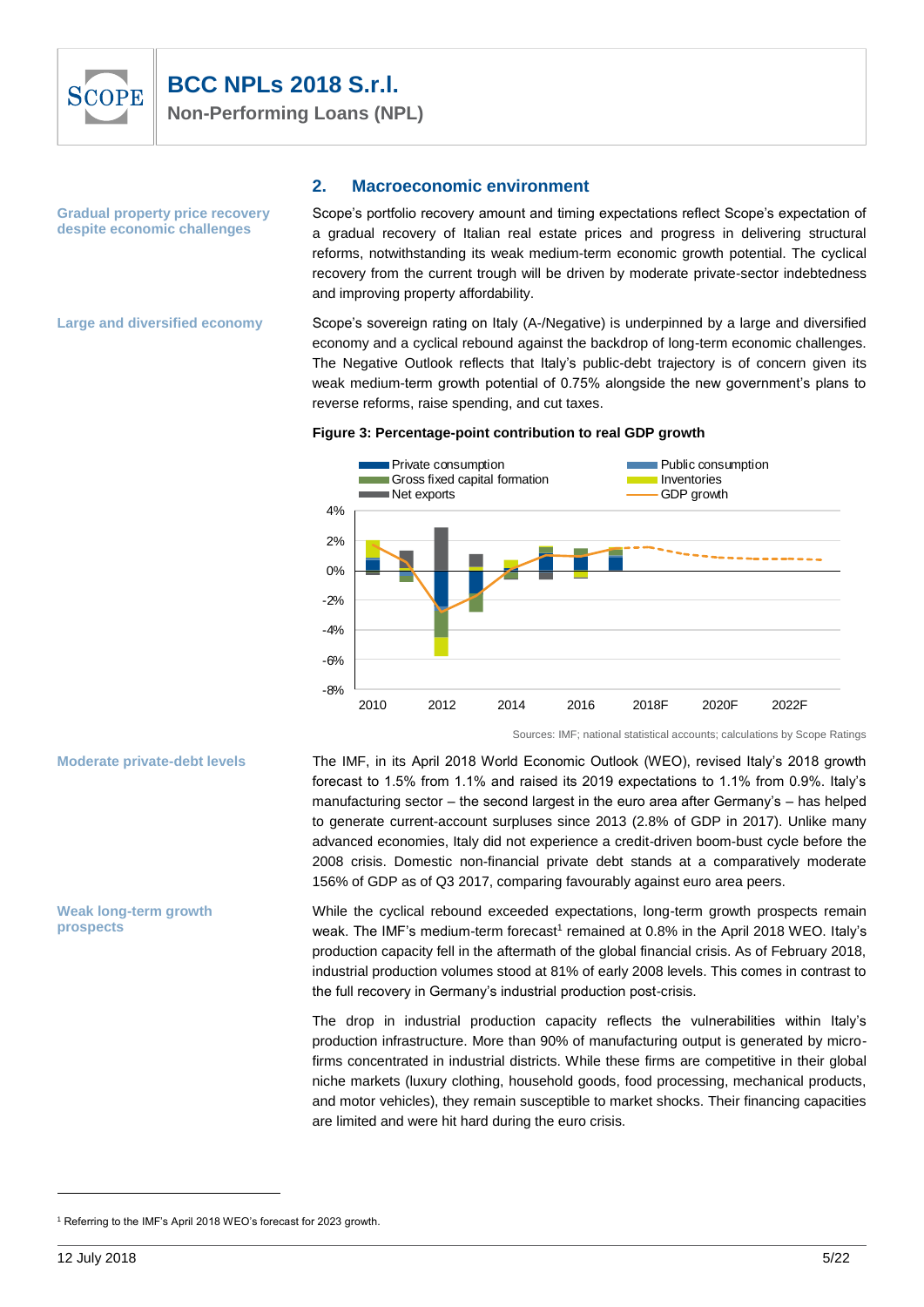

**Gradual property price recovery despite economic challenges**

#### **2. Macroeconomic environment**

Scope's portfolio recovery amount and timing expectations reflect Scope's expectation of a gradual recovery of Italian real estate prices and progress in delivering structural reforms, notwithstanding its weak medium-term economic growth potential. The cyclical recovery from the current trough will be driven by moderate private-sector indebtedness and improving property affordability.

**Large and diversified economy**

**Moderate private-debt levels**

**Weak long-term growth** 

**prospects**

Scope's sovereign rating on Italy (A-/Negative) is underpinned by a large and diversified economy and a cyclical rebound against the backdrop of long-term economic challenges. The Negative Outlook reflects that Italy's public-debt trajectory is of concern given its weak medium-term growth potential of 0.75% alongside the new government's plans to reverse reforms, raise spending, and cut taxes.

#### **Figure 3: Percentage-point contribution to real GDP growth**



Sources: IMF; national statistical accounts; calculations by Scope Ratings

The IMF, in its April 2018 World Economic Outlook (WEO), revised Italy's 2018 growth forecast to 1.5% from 1.1% and raised its 2019 expectations to 1.1% from 0.9%. Italy's manufacturing sector – the second largest in the euro area after Germany's – has helped to generate current-account surpluses since 2013 (2.8% of GDP in 2017). Unlike many advanced economies, Italy did not experience a credit-driven boom-bust cycle before the 2008 crisis. Domestic non-financial private debt stands at a comparatively moderate 156% of GDP as of Q3 2017, comparing favourably against euro area peers.

While the cyclical rebound exceeded expectations, long-term growth prospects remain weak. The IMF's medium-term forecast<sup>1</sup> remained at 0.8% in the April 2018 WEO. Italy's production capacity fell in the aftermath of the global financial crisis. As of February 2018, industrial production volumes stood at 81% of early 2008 levels. This comes in contrast to the full recovery in Germany's industrial production post-crisis.

The drop in industrial production capacity reflects the vulnerabilities within Italy's production infrastructure. More than 90% of manufacturing output is generated by microfirms concentrated in industrial districts. While these firms are competitive in their global niche markets (luxury clothing, household goods, food processing, mechanical products, and motor vehicles), they remain susceptible to market shocks. Their financing capacities are limited and were hit hard during the euro crisis.

 $\overline{a}$ 

<sup>&</sup>lt;sup>1</sup> Referring to the IMF's April 2018 WEO's forecast for 2023 growth.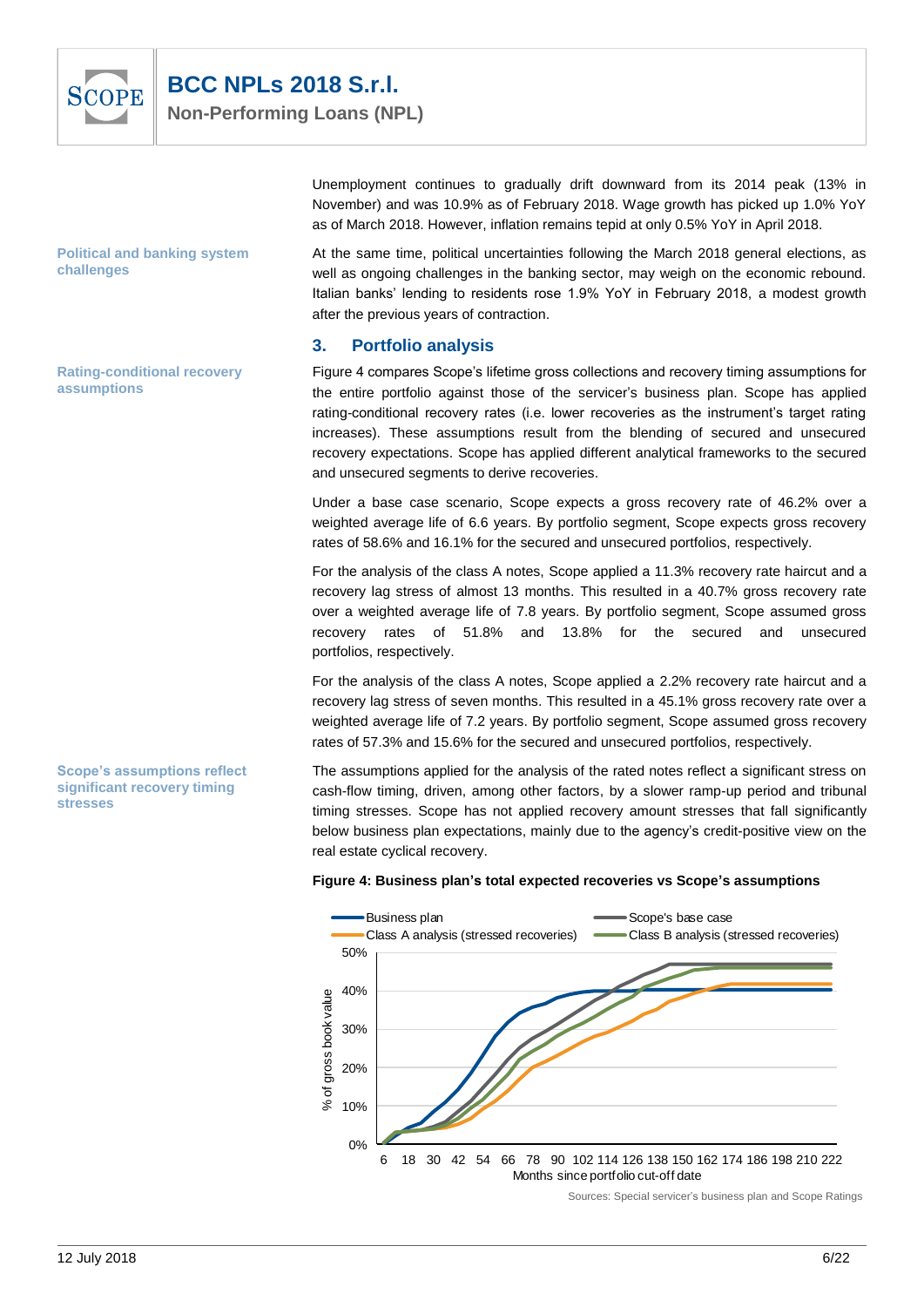

**Political and banking system challenges**

**Rating-conditional recovery assumptions**

**Scope's assumptions reflect significant recovery timing** 

**stresses**

as of March 2018. However, inflation remains tepid at only 0.5% YoY in April 2018. At the same time, political uncertainties following the March 2018 general elections, as well as ongoing challenges in the banking sector, may weigh on the economic rebound. Italian banks' lending to residents rose 1.9% YoY in February 2018, a modest growth after the previous years of contraction.

Unemployment continues to gradually drift downward from its 2014 peak (13% in November) and was 10.9% as of February 2018. Wage growth has picked up 1.0% YoY

#### **3. Portfolio analysis**

Figure 4 compares Scope's lifetime gross collections and recovery timing assumptions for the entire portfolio against those of the servicer's business plan. Scope has applied rating-conditional recovery rates (i.e. lower recoveries as the instrument's target rating increases). These assumptions result from the blending of secured and unsecured recovery expectations. Scope has applied different analytical frameworks to the secured and unsecured segments to derive recoveries.

Under a base case scenario, Scope expects a gross recovery rate of 46.2% over a weighted average life of 6.6 years. By portfolio segment, Scope expects gross recovery rates of 58.6% and 16.1% for the secured and unsecured portfolios, respectively.

For the analysis of the class A notes, Scope applied a 11.3% recovery rate haircut and a recovery lag stress of almost 13 months. This resulted in a 40.7% gross recovery rate over a weighted average life of 7.8 years. By portfolio segment, Scope assumed gross recovery rates of 51.8% and 13.8% for the secured and unsecured portfolios, respectively.

For the analysis of the class A notes, Scope applied a 2.2% recovery rate haircut and a recovery lag stress of seven months. This resulted in a 45.1% gross recovery rate over a weighted average life of 7.2 years. By portfolio segment, Scope assumed gross recovery rates of 57.3% and 15.6% for the secured and unsecured portfolios, respectively.

The assumptions applied for the analysis of the rated notes reflect a significant stress on cash-flow timing, driven, among other factors, by a slower ramp-up period and tribunal timing stresses. Scope has not applied recovery amount stresses that fall significantly below business plan expectations, mainly due to the agency's credit-positive view on the real estate cyclical recovery.





Sources: Special servicer's business plan and Scope Ratings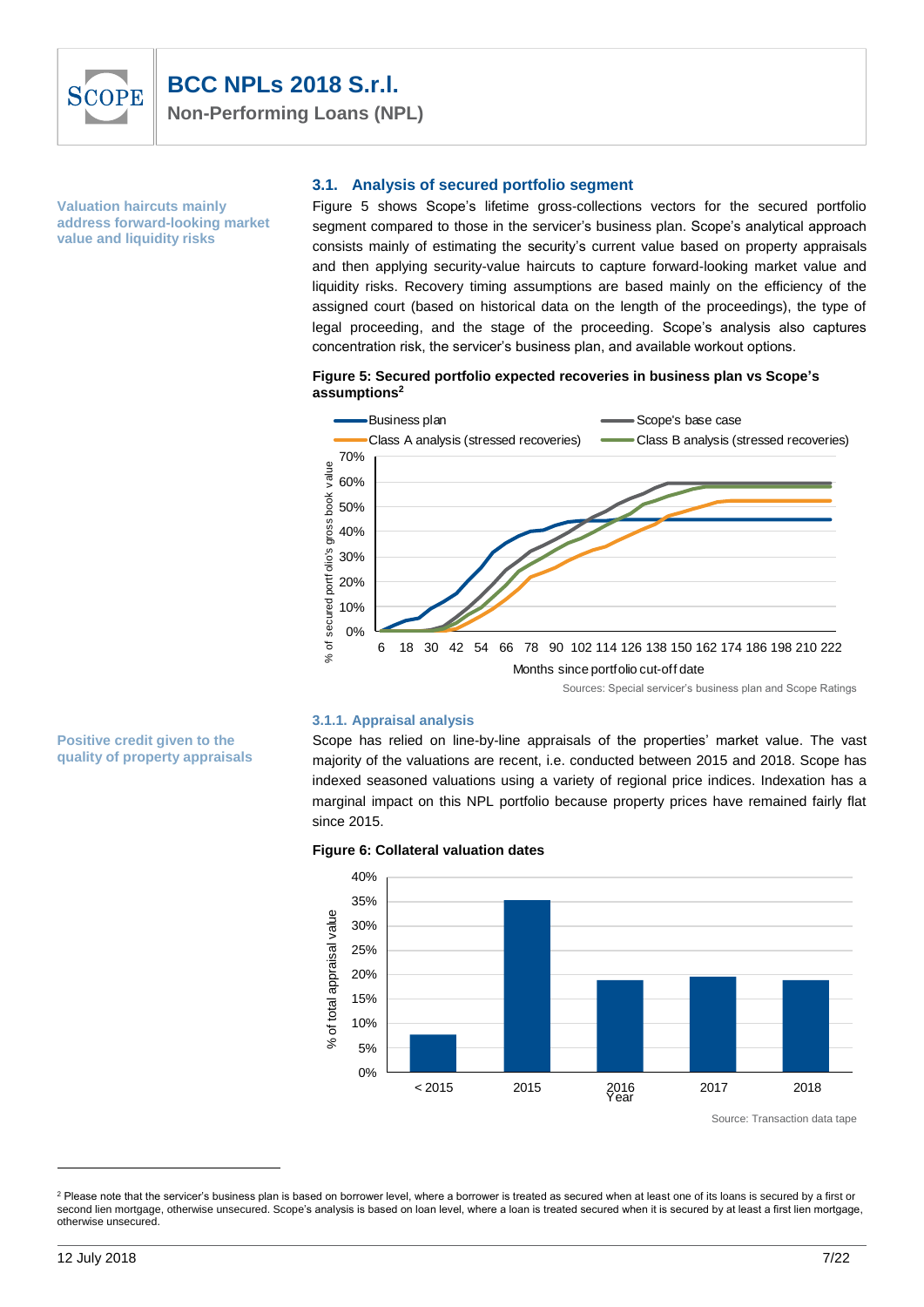

**Valuation haircuts mainly address forward-looking market value and liquidity risks**

**Positive credit given to the quality of property appraisals**

#### **3.1. Analysis of secured portfolio segment**

Figure 5 shows Scope's lifetime gross-collections vectors for the secured portfolio segment compared to those in the servicer's business plan. Scope's analytical approach consists mainly of estimating the security's current value based on property appraisals and then applying security-value haircuts to capture forward-looking market value and liquidity risks. Recovery timing assumptions are based mainly on the efficiency of the assigned court (based on historical data on the length of the proceedings), the type of legal proceeding, and the stage of the proceeding. Scope's analysis also captures concentration risk, the servicer's business plan, and available workout options.

#### **Figure 5: Secured portfolio expected recoveries in business plan vs Scope's assumptions<sup>2</sup>**



#### **3.1.1. Appraisal analysis**

Scope has relied on line-by-line appraisals of the properties' market value. The vast majority of the valuations are recent, i.e. conducted between 2015 and 2018. Scope has indexed seasoned valuations using a variety of regional price indices. Indexation has a marginal impact on this NPL portfolio because property prices have remained fairly flat since 2015.





Source: Transaction data tape

 $\overline{a}$ 

<sup>&</sup>lt;sup>2</sup> Please note that the servicer's business plan is based on borrower level, where a borrower is treated as secured when at least one of its loans is secured by a first or second lien mortgage, otherwise unsecured. Scope's analysis is based on loan level, where a loan is treated secured when it is secured by at least a first lien mortgage, otherwise unsecured.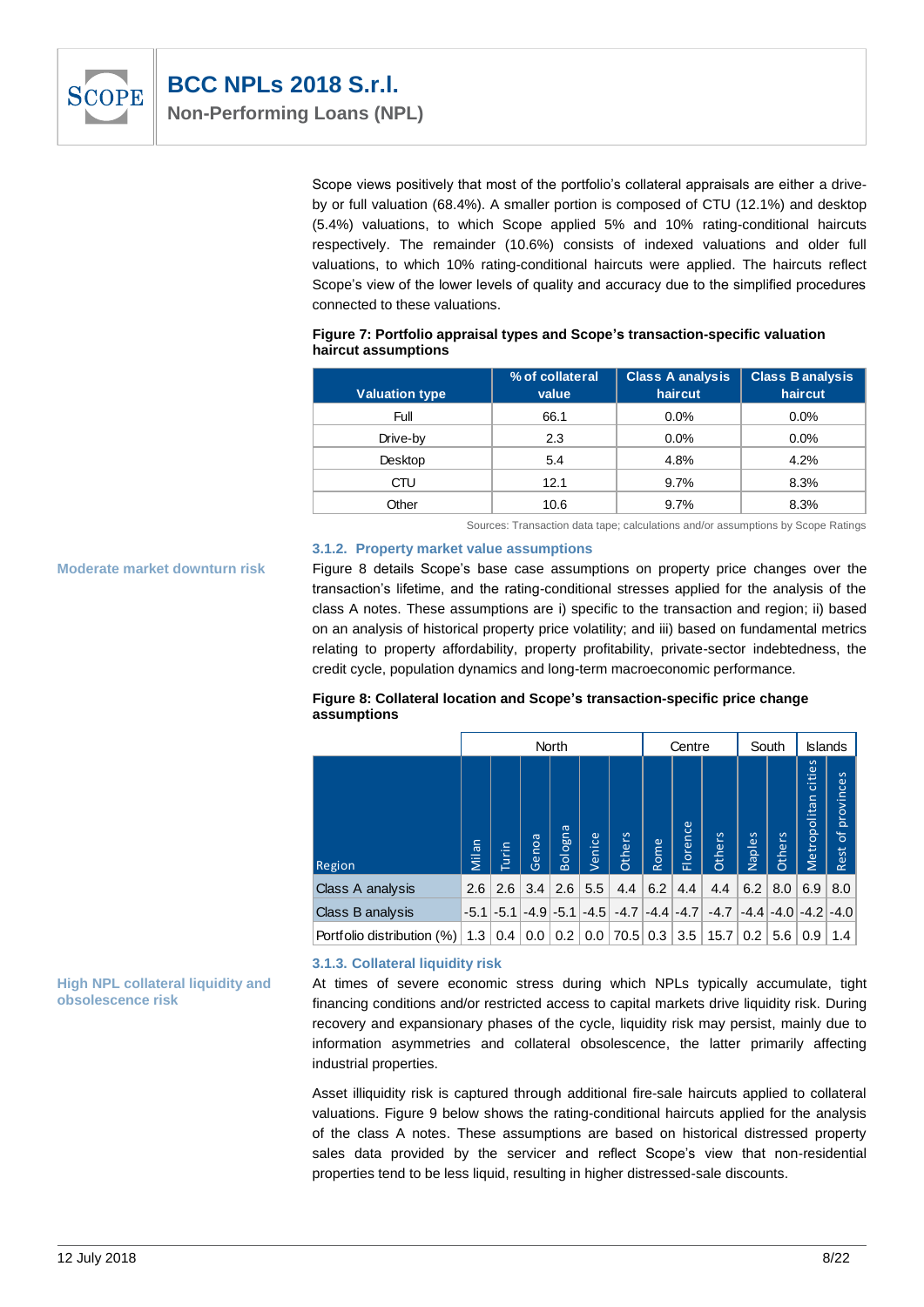

Scope views positively that most of the portfolio's collateral appraisals are either a driveby or full valuation (68.4%). A smaller portion is composed of CTU (12.1%) and desktop (5.4%) valuations, to which Scope applied 5% and 10% rating-conditional haircuts respectively. The remainder (10.6%) consists of indexed valuations and older full valuations, to which 10% rating-conditional haircuts were applied. The haircuts reflect Scope's view of the lower levels of quality and accuracy due to the simplified procedures connected to these valuations.

#### **Figure 7: Portfolio appraisal types and Scope's transaction-specific valuation haircut assumptions**

|                       | % of collateral | <b>Class A analysis</b> | <b>Class Banalysis</b> |
|-----------------------|-----------------|-------------------------|------------------------|
| <b>Valuation type</b> | value           | haircut                 | haircut                |
| Full                  | 66.1            | $0.0\%$                 | $0.0\%$                |
| Drive-by              | 2.3             | $0.0\%$                 | $0.0\%$                |
| Desktop               | 5.4             | 4.8%                    | 4.2%                   |
| CTU                   | 12.1            | 9.7%                    | 8.3%                   |
| Other                 | 10.6            | 9.7%                    | 8.3%                   |

Sources: Transaction data tape; calculations and/or assumptions by Scope Ratings

#### **3.1.2. Property market value assumptions**

**Moderate market downturn risk**

Figure 8 details Scope's base case assumptions on property price changes over the transaction's lifetime, and the rating-conditional stresses applied for the analysis of the class A notes. These assumptions are i) specific to the transaction and region; ii) based on an analysis of historical property price volatility; and iii) based on fundamental metrics relating to property affordability, property profitability, private-sector indebtedness, the credit cycle, population dynamics and long-term macroeconomic performance.

#### **Figure 8: Collateral location and Scope's transaction-specific price change assumptions**

|                            | North  |        |       |              |        | Centre |      | South         |        | <b>Islands</b> |                      |                        |                                          |
|----------------------------|--------|--------|-------|--------------|--------|--------|------|---------------|--------|----------------|----------------------|------------------------|------------------------------------------|
| Region                     | Milan  | Turin  | Genoa | Bologna      | Venice | Others | Rome | Florence      | Others | Naples         | Others               | cities<br>Metropolitan | provinces<br>$\overline{\sigma}$<br>Rest |
| Class A analysis           | 2.6    | 2.6    | 3.4   | 2.6          | 5.5    | 4.4    | 6.2  | 4.4           | 4.4    | 6.2            | 8.0                  | 6.9                    | 8.0                                      |
| Class B analysis           | $-5.1$ | $-5.1$ |       | $-4.9 - 5.1$ | $-4.5$ | $-4.7$ |      | $-4.4$ $-4.7$ | $-4.7$ |                | $-4.4$ $-4.0$ $-4.2$ |                        | $-4.0$                                   |
| Portfolio distribution (%) | 1.3    | 0.4    | 0.0   | 0.2          | 0.0    | 70.5   | 0.3  | 3.5           | 15.7   | 0.2            | 5.6                  | 0.9                    | 1.4                                      |

#### **High NPL collateral liquidity and obsolescence risk**

#### **3.1.3. Collateral liquidity risk**

At times of severe economic stress during which NPLs typically accumulate, tight financing conditions and/or restricted access to capital markets drive liquidity risk. During recovery and expansionary phases of the cycle, liquidity risk may persist, mainly due to information asymmetries and collateral obsolescence, the latter primarily affecting industrial properties.

Asset illiquidity risk is captured through additional fire-sale haircuts applied to collateral valuations. Figure 9 below shows the rating-conditional haircuts applied for the analysis of the class A notes. These assumptions are based on historical distressed property sales data provided by the servicer and reflect Scope's view that non-residential properties tend to be less liquid, resulting in higher distressed-sale discounts.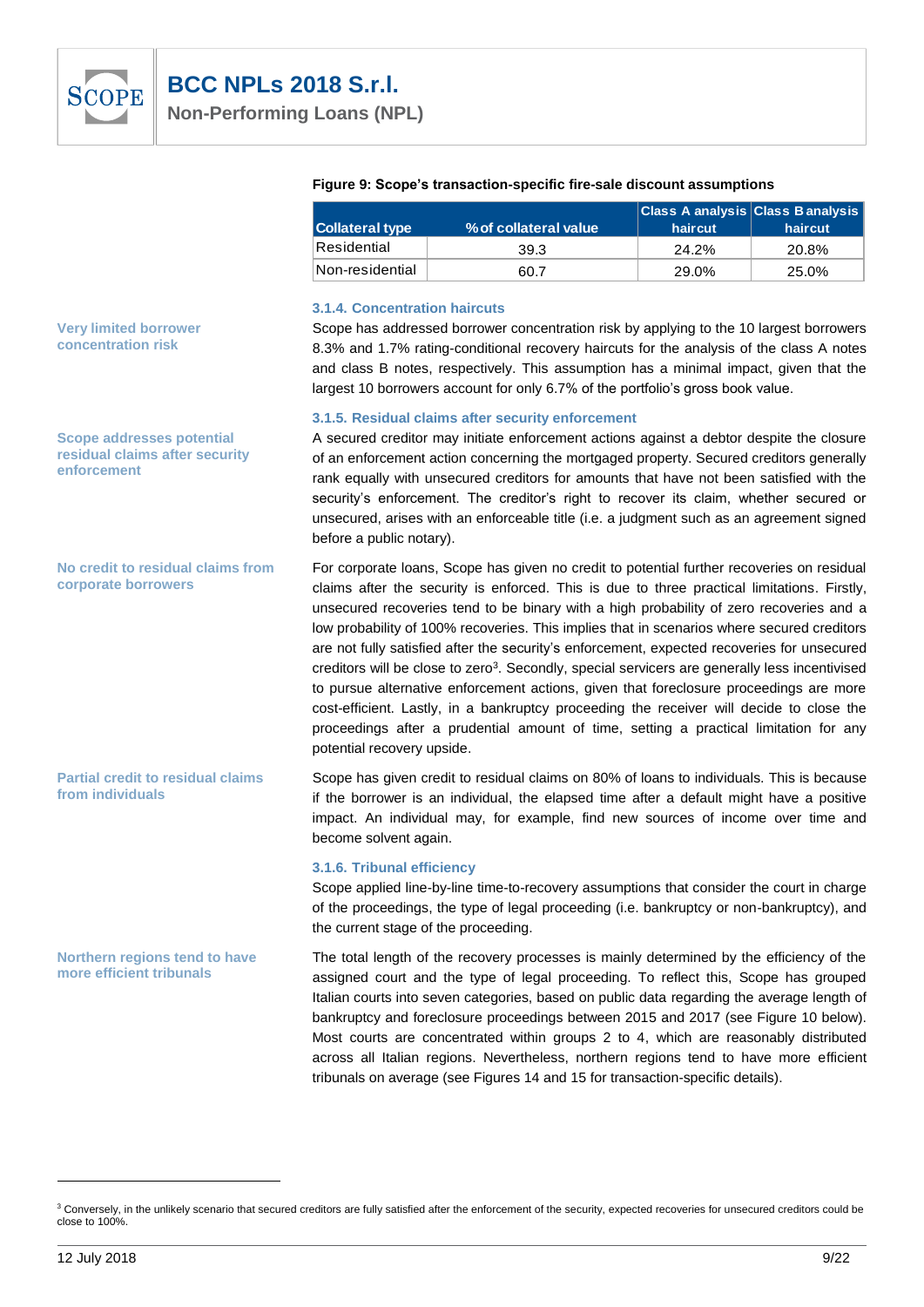

|                                                                                                                                                                                          | <b>Collateral type</b>                                             | % of collateral value                                                                                                                                                                                                                                                                                                                                                                                                                                                                                                                                                                                                                                                                                                                                                                                                                                                          | haircut | haircut |
|------------------------------------------------------------------------------------------------------------------------------------------------------------------------------------------|--------------------------------------------------------------------|--------------------------------------------------------------------------------------------------------------------------------------------------------------------------------------------------------------------------------------------------------------------------------------------------------------------------------------------------------------------------------------------------------------------------------------------------------------------------------------------------------------------------------------------------------------------------------------------------------------------------------------------------------------------------------------------------------------------------------------------------------------------------------------------------------------------------------------------------------------------------------|---------|---------|
|                                                                                                                                                                                          | Residential                                                        | 39.3                                                                                                                                                                                                                                                                                                                                                                                                                                                                                                                                                                                                                                                                                                                                                                                                                                                                           | 24.2%   | 20.8%   |
|                                                                                                                                                                                          | Non-residential                                                    | 60.7                                                                                                                                                                                                                                                                                                                                                                                                                                                                                                                                                                                                                                                                                                                                                                                                                                                                           | 29.0%   | 25.0%   |
| <b>Very limited borrower</b><br>concentration risk                                                                                                                                       | <b>3.1.4. Concentration haircuts</b>                               | Scope has addressed borrower concentration risk by applying to the 10 largest borrowers<br>8.3% and 1.7% rating-conditional recovery haircuts for the analysis of the class A notes<br>and class B notes, respectively. This assumption has a minimal impact, given that the<br>largest 10 borrowers account for only 6.7% of the portfolio's gross book value.                                                                                                                                                                                                                                                                                                                                                                                                                                                                                                                |         |         |
| <b>Scope addresses potential</b><br>residual claims after security<br>enforcement                                                                                                        | before a public notary).                                           | 3.1.5. Residual claims after security enforcement<br>A secured creditor may initiate enforcement actions against a debtor despite the closure<br>of an enforcement action concerning the mortgaged property. Secured creditors generally<br>rank equally with unsecured creditors for amounts that have not been satisfied with the<br>security's enforcement. The creditor's right to recover its claim, whether secured or<br>unsecured, arises with an enforceable title (i.e. a judgment such as an agreement signed                                                                                                                                                                                                                                                                                                                                                       |         |         |
| No credit to residual claims from<br>corporate borrowers                                                                                                                                 | potential recovery upside.                                         | For corporate loans, Scope has given no credit to potential further recoveries on residual<br>claims after the security is enforced. This is due to three practical limitations. Firstly,<br>unsecured recoveries tend to be binary with a high probability of zero recoveries and a<br>low probability of 100% recoveries. This implies that in scenarios where secured creditors<br>are not fully satisfied after the security's enforcement, expected recoveries for unsecured<br>creditors will be close to zero <sup>3</sup> . Secondly, special servicers are generally less incentivised<br>to pursue alternative enforcement actions, given that foreclosure proceedings are more<br>cost-efficient. Lastly, in a bankruptcy proceeding the receiver will decide to close the<br>proceedings after a prudential amount of time, setting a practical limitation for any |         |         |
| <b>Partial credit to residual claims</b><br>from individuals                                                                                                                             | become solvent again.                                              | Scope has given credit to residual claims on 80% of loans to individuals. This is because<br>if the borrower is an individual, the elapsed time after a default might have a positive<br>impact. An individual may, for example, find new sources of income over time and                                                                                                                                                                                                                                                                                                                                                                                                                                                                                                                                                                                                      |         |         |
|                                                                                                                                                                                          | 3.1.6. Tribunal efficiency<br>the current stage of the proceeding. | Scope applied line-by-line time-to-recovery assumptions that consider the court in charge<br>of the proceedings, the type of legal proceeding (i.e. bankruptcy or non-bankruptcy), and                                                                                                                                                                                                                                                                                                                                                                                                                                                                                                                                                                                                                                                                                         |         |         |
| Northern regions tend to have<br>more efficient tribunals                                                                                                                                |                                                                    | The total length of the recovery processes is mainly determined by the efficiency of the<br>assigned court and the type of legal proceeding. To reflect this, Scope has grouped<br>Italian courts into seven categories, based on public data regarding the average length of<br>bankruptcy and foreclosure proceedings between 2015 and 2017 (see Figure 10 below).<br>Most courts are concentrated within groups 2 to 4, which are reasonably distributed<br>across all Italian regions. Nevertheless, northern regions tend to have more efficient<br>tribunals on average (see Figures 14 and 15 for transaction-specific details).                                                                                                                                                                                                                                        |         |         |
| <sup>3</sup> Conversely, in the unlikely scenario that secured creditors are fully satisfied after the enforcement of the security, expected recoveries for unsecured creditors could be |                                                                    |                                                                                                                                                                                                                                                                                                                                                                                                                                                                                                                                                                                                                                                                                                                                                                                                                                                                                |         |         |

#### **Figure 9: Scope's transaction-specific fire-sale discount assumptions**

**Class A analysis Class B analysis** 

<sup>&</sup>lt;sup>3</sup> Conversely, in the unlikely scenario that secured creditors are fully satisfied after the enforcement of the security, expected recoveries for unsecured creditors could be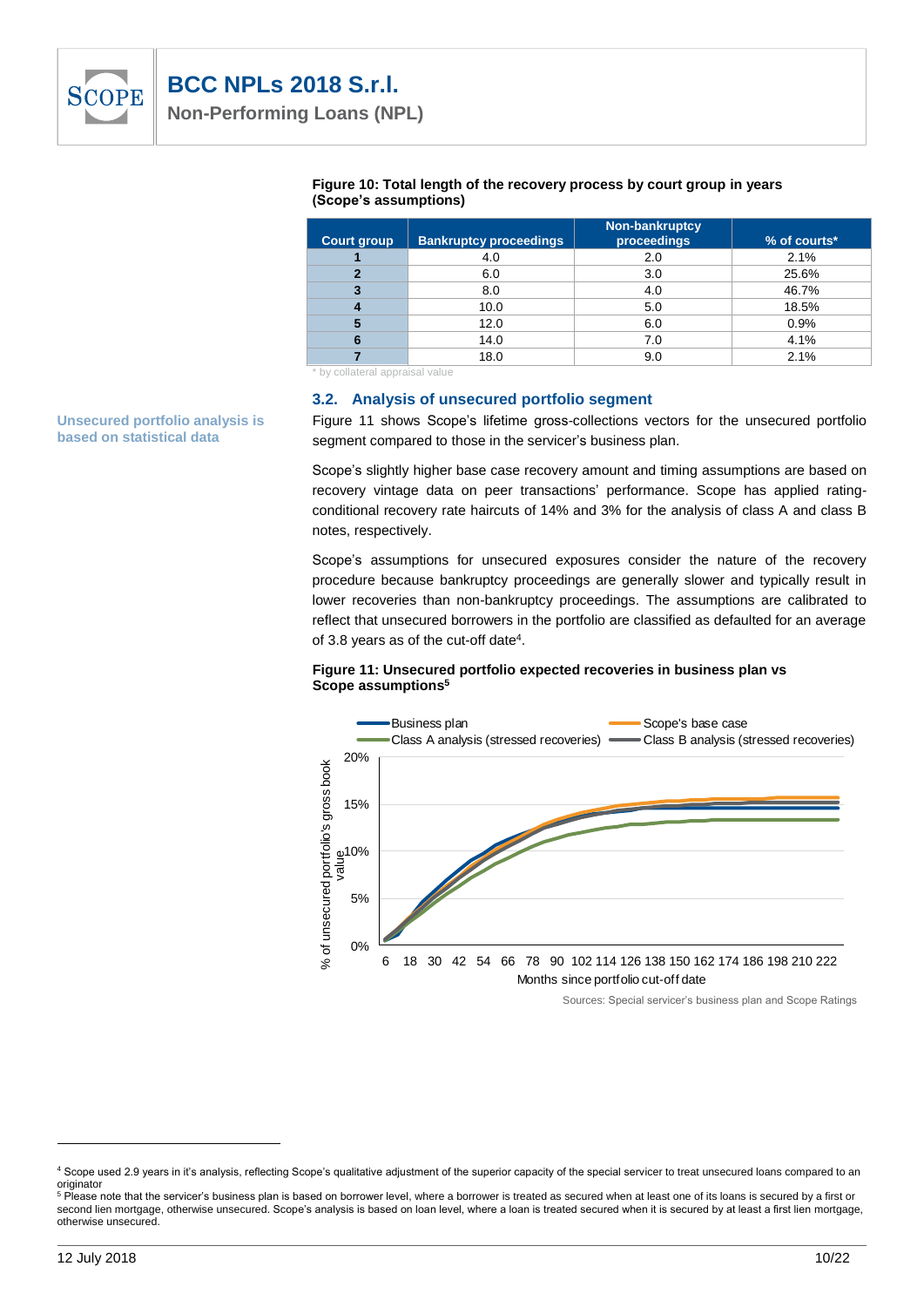

| <b>Court group</b> | <b>Bankruptcy proceedings</b> | Non-bankruptcy<br>proceedings | $%$ of courts $*$ |
|--------------------|-------------------------------|-------------------------------|-------------------|
|                    | 4.0                           | 2.0                           | 2.1%              |
|                    | 6.0                           | 3.0                           | 25.6%             |
| 3                  | 8.0                           | 4.0                           | 46.7%             |
| 4                  | 10.0                          | 5.0                           | 18.5%             |
| 5                  | 12.0                          | 6.0                           | 0.9%              |
| 6                  | 14.0                          | 7.0                           | 4.1%              |
|                    | 18.0                          | 9.0                           | 2.1%              |

#### **Figure 10: Total length of the recovery process by court group in years (Scope's assumptions)**

\* by collateral appraisal value

#### **3.2. Analysis of unsecured portfolio segment**

Figure 11 shows Scope's lifetime gross-collections vectors for the unsecured portfolio segment compared to those in the servicer's business plan.

Scope's slightly higher base case recovery amount and timing assumptions are based on recovery vintage data on peer transactions' performance. Scope has applied ratingconditional recovery rate haircuts of 14% and 3% for the analysis of class A and class B notes, respectively.

Scope's assumptions for unsecured exposures consider the nature of the recovery procedure because bankruptcy proceedings are generally slower and typically result in lower recoveries than non-bankruptcy proceedings. The assumptions are calibrated to reflect that unsecured borrowers in the portfolio are classified as defaulted for an average of 3.8 years as of the cut-off date<sup>4</sup>.

#### **Figure 11: Unsecured portfolio expected recoveries in business plan vs Scope assumptions<sup>5</sup>**



Sources: Special servicer's business plan and Scope Ratings

**Unsecured portfolio analysis is based on statistical data**

l

<sup>4</sup> Scope used 2.9 years in it's analysis, reflecting Scope's qualitative adjustment of the superior capacity of the special servicer to treat unsecured loans compared to an originator

<sup>&</sup>lt;sup>5</sup> Please note that the servicer's business plan is based on borrower level, where a borrower is treated as secured when at least one of its loans is secured by a first or second lien mortgage, otherwise unsecured. Scope's analysis is based on loan level, where a loan is treated secured when it is secured by at least a first lien mortgage, otherwise unsecured.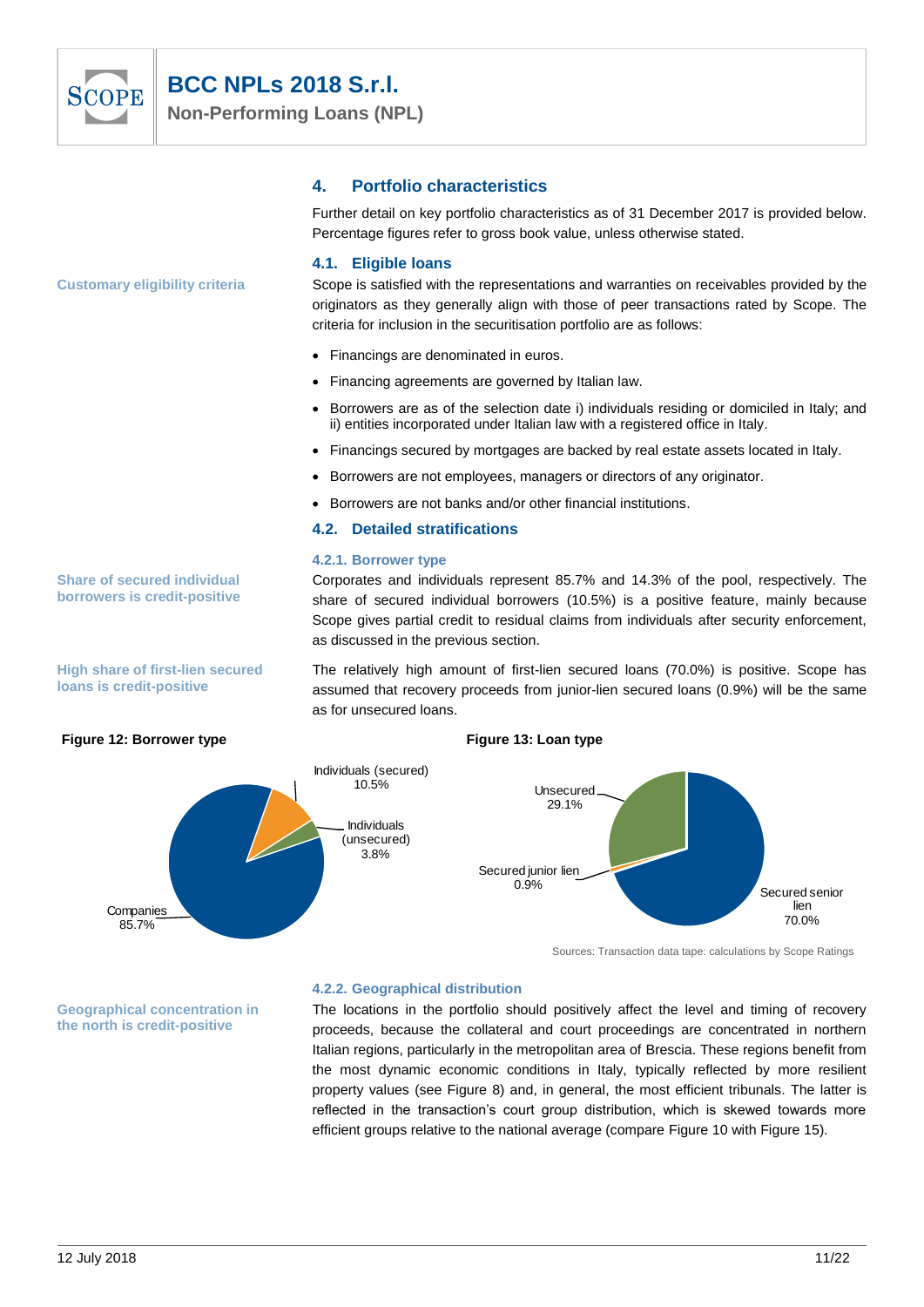

# **BCC NPLs 2018 S.r.l.**

**Non-Performing Loans (NPL)**

## **4. Portfolio characteristics**

Further detail on key portfolio characteristics as of 31 December 2017 is provided below. Percentage figures refer to gross book value, unless otherwise stated.

#### **4.1. Eligible loans**

Scope is satisfied with the representations and warranties on receivables provided by the originators as they generally align with those of peer transactions rated by Scope. The criteria for inclusion in the securitisation portfolio are as follows:

- Financings are denominated in euros.
- Financing agreements are governed by Italian law.
- Borrowers are as of the selection date i) individuals residing or domiciled in Italy; and ii) entities incorporated under Italian law with a registered office in Italy.

Corporates and individuals represent 85.7% and 14.3% of the pool, respectively. The share of secured individual borrowers (10.5%) is a positive feature, mainly because Scope gives partial credit to residual claims from individuals after security enforcement,

The relatively high amount of first-lien secured loans (70.0%) is positive. Scope has assumed that recovery proceeds from junior-lien secured loans (0.9%) will be the same

- Financings secured by mortgages are backed by real estate assets located in Italy.
- Borrowers are not employees, managers or directors of any originator.
- Borrowers are not banks and/or other financial institutions.

#### **4.2. Detailed stratifications**

as discussed in the previous section.

#### **4.2.1. Borrower type**



Sources: Transaction data tape: calculations by Scope Ratings

**Geographical concentration in the north is credit-positive**

85.7%

#### **4.2.2. Geographical distribution**

The locations in the portfolio should positively affect the level and timing of recovery proceeds, because the collateral and court proceedings are concentrated in northern Italian regions, particularly in the metropolitan area of Brescia. These regions benefit from the most dynamic economic conditions in Italy, typically reflected by more resilient property values (see Figure 8) and, in general, the most efficient tribunals. The latter is reflected in the transaction's court group distribution, which is skewed towards more efficient groups relative to the national average (compare Figure 10 with Figure 15).

**Share of secured individual borrowers is credit-positive**

**Customary eligibility criteria**

**High share of first-lien secured loans is credit-positive**

70.0%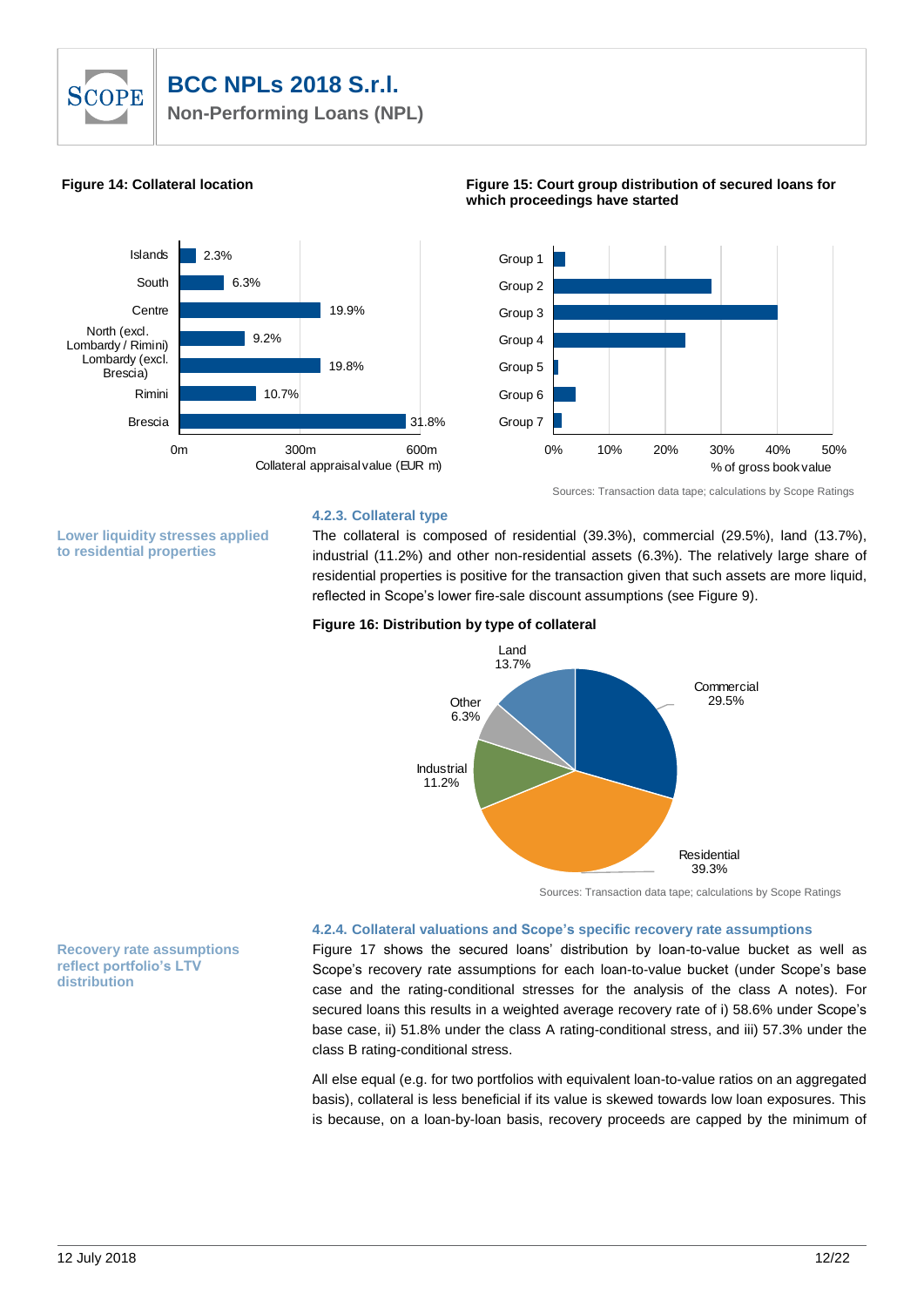# **SCOPE**

# **BCC NPLs 2018 S.r.l.**

**Non-Performing Loans (NPL)**



0% 10% 20% 30% 40% 50% Group 7 Group 6 Group 5 Group 4 Group 3 Group 2 Group 1 % of gross book value

Sources: Transaction data tape; calculations by Scope Ratings

# **4.2.3. Collateral type**

**Lower liquidity stresses applied to residential properties**

The collateral is composed of residential (39.3%), commercial (29.5%), land (13.7%), industrial (11.2%) and other non-residential assets (6.3%). The relatively large share of residential properties is positive for the transaction given that such assets are more liquid, reflected in Scope's lower fire-sale discount assumptions (see Figure 9).

#### **Figure 16: Distribution by type of collateral**



Sources: Transaction data tape; calculations by Scope Ratings

#### **4.2.4. Collateral valuations and Scope's specific recovery rate assumptions**

Figure 17 shows the secured loans' distribution by loan-to-value bucket as well as Scope's recovery rate assumptions for each loan-to-value bucket (under Scope's base case and the rating-conditional stresses for the analysis of the class A notes). For secured loans this results in a weighted average recovery rate of i) 58.6% under Scope's base case, ii) 51.8% under the class A rating-conditional stress, and iii) 57.3% under the class B rating-conditional stress.

All else equal (e.g. for two portfolios with equivalent loan-to-value ratios on an aggregated basis), collateral is less beneficial if its value is skewed towards low loan exposures. This is because, on a loan-by-loan basis, recovery proceeds are capped by the minimum of

**Recovery rate assumptions reflect portfolio's LTV distribution**

#### **Figure 14: Collateral location Figure 15: Court group distribution of secured loans for which proceedings have started**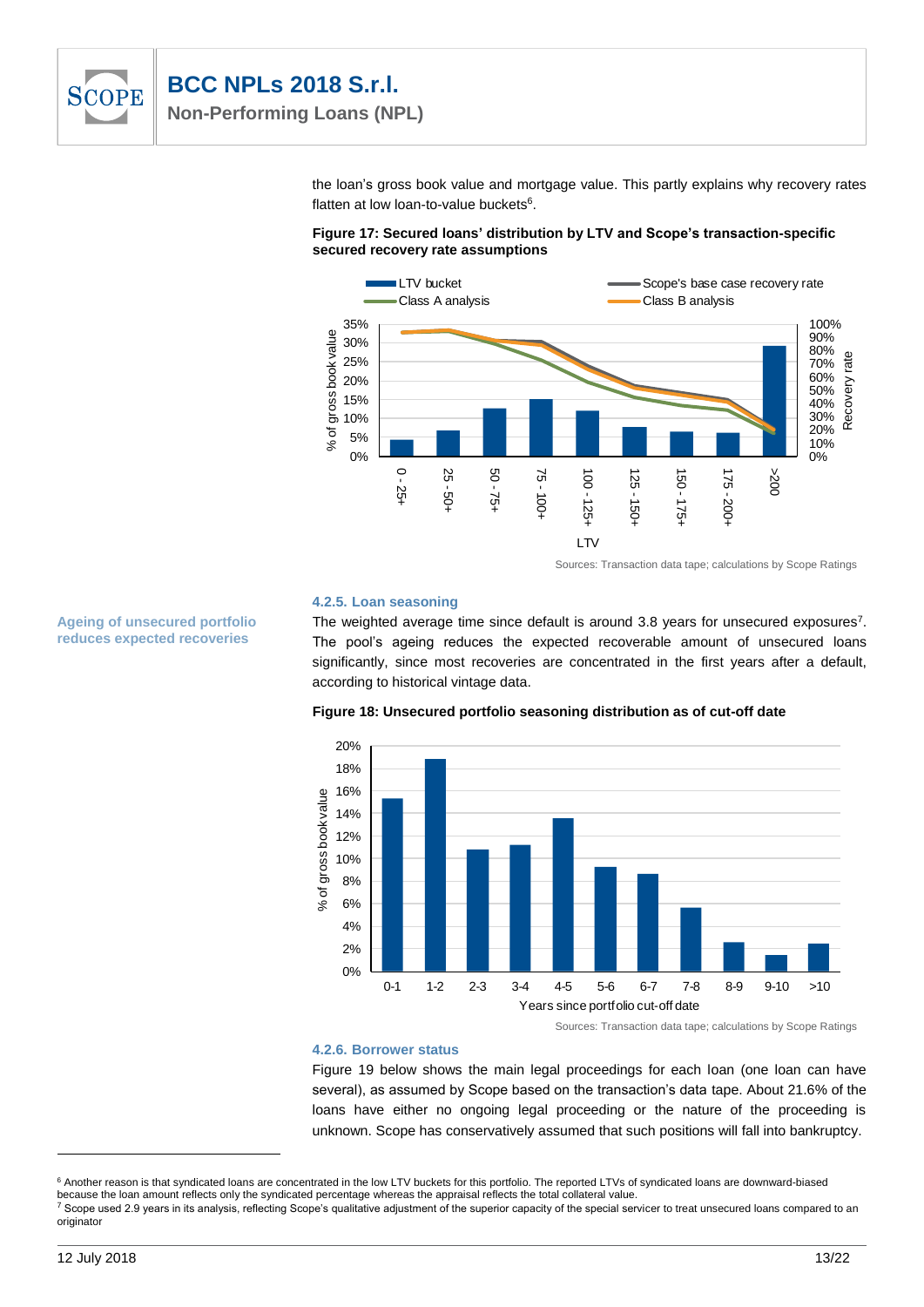

**Ageing of unsecured portfolio reduces expected recoveries**

the loan's gross book value and mortgage value. This partly explains why recovery rates flatten at low loan-to-value buckets<sup>6</sup>.





Sources: Transaction data tape; calculations by Scope Ratings

#### **4.2.5. Loan seasoning**

The weighted average time since default is around 3.8 years for unsecured exposures<sup>7</sup>. The pool's ageing reduces the expected recoverable amount of unsecured loans significantly, since most recoveries are concentrated in the first years after a default, according to historical vintage data.



**Figure 18: Unsecured portfolio seasoning distribution as of cut-off date**

#### **4.2.6. Borrower status**

Figure 19 below shows the main legal proceedings for each loan (one loan can have several), as assumed by Scope based on the transaction's data tape. About 21.6% of the loans have either no ongoing legal proceeding or the nature of the proceeding is unknown. Scope has conservatively assumed that such positions will fall into bankruptcy.

l

<sup>&</sup>lt;sup>6</sup> Another reason is that syndicated loans are concentrated in the low LTV buckets for this portfolio. The reported LTVs of syndicated loans are downward-biased because the loan amount reflects only the syndicated percentage whereas the appraisal reflects the total collateral value.

 $7$  Scope used 2.9 years in its analysis, reflecting Scope's qualitative adjustment of the superior capacity of the special servicer to treat unsecured loans compared to an originator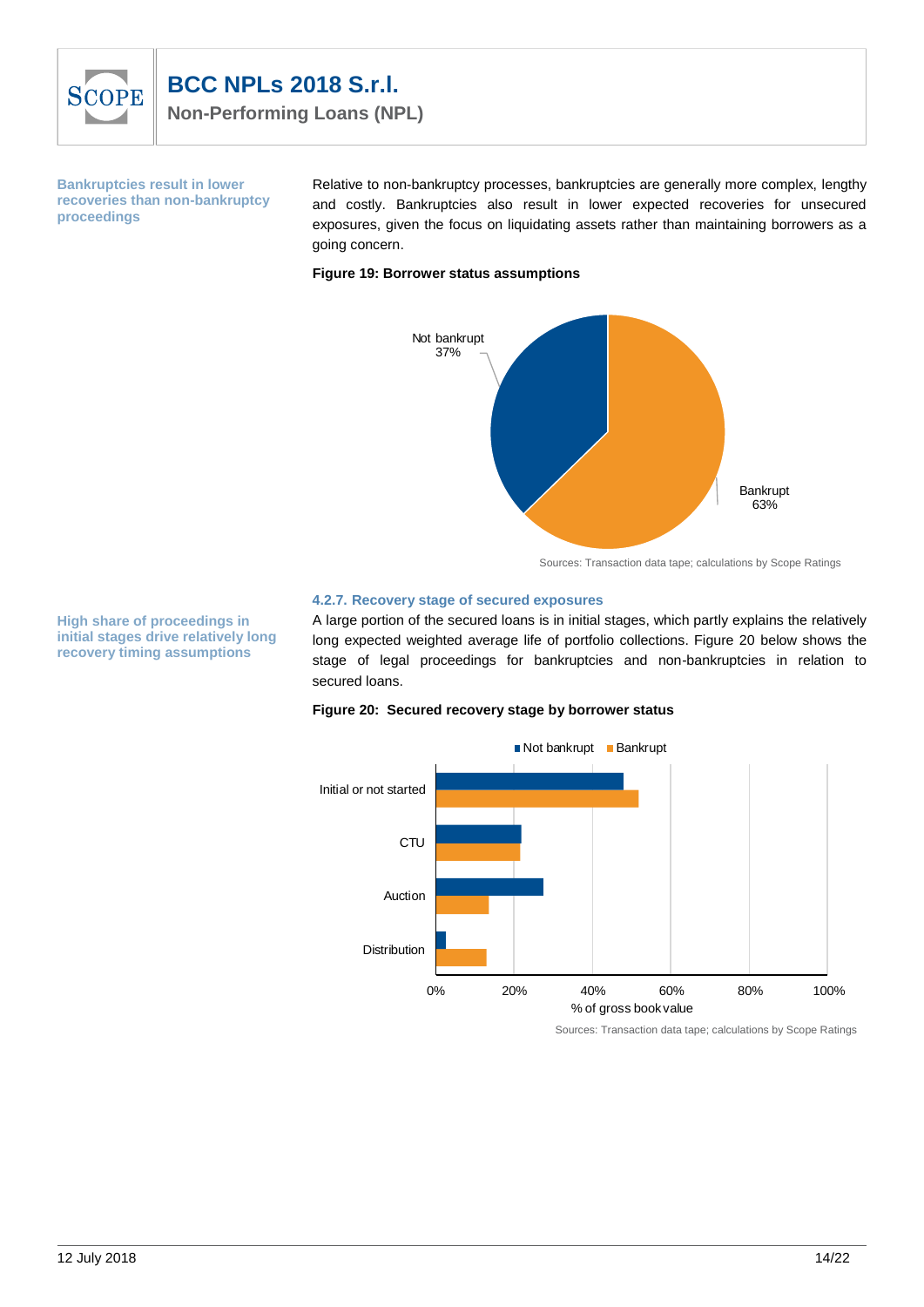

**Bankruptcies result in lower recoveries than non-bankruptcy proceedings** 

Relative to non-bankruptcy processes, bankruptcies are generally more complex, lengthy and costly. Bankruptcies also result in lower expected recoveries for unsecured exposures, given the focus on liquidating assets rather than maintaining borrowers as a going concern.

#### **Figure 19: Borrower status assumptions**



Sources: Transaction data tape; calculations by Scope Ratings

#### **4.2.7. Recovery stage of secured exposures**

A large portion of the secured loans is in initial stages, which partly explains the relatively long expected weighted average life of portfolio collections. Figure 20 below shows the stage of legal proceedings for bankruptcies and non-bankruptcies in relation to secured loans.

#### **Figure 20: Secured recovery stage by borrower status**



Sources: Transaction data tape; calculations by Scope Ratings

**High share of proceedings in initial stages drive relatively long recovery timing assumptions**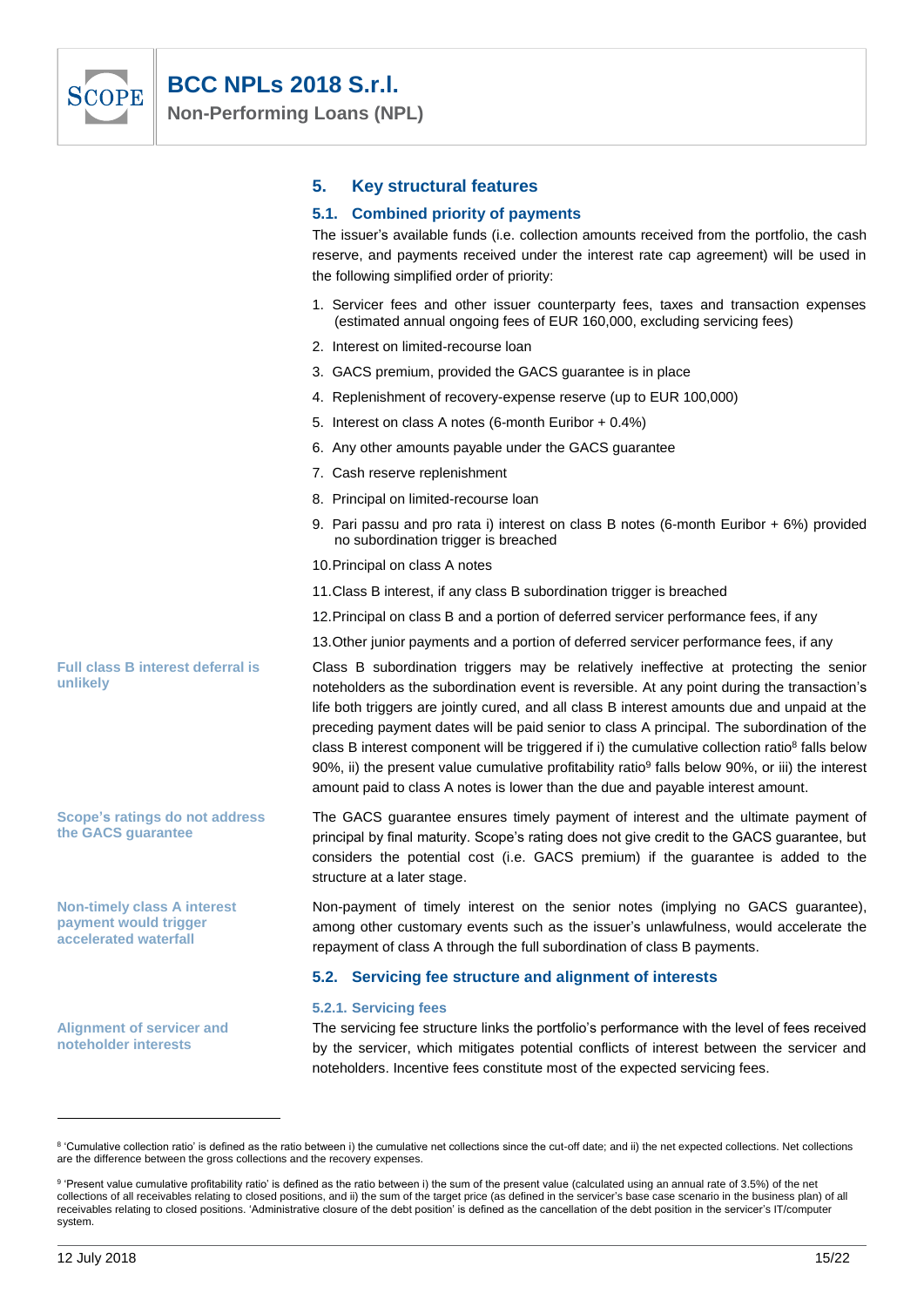

|                                                                                      | 5. | <b>Key structural features</b>                                                                                                                                                                                                                                                                                                                                                                                                                                                                                                                                                                                                                                                                       |
|--------------------------------------------------------------------------------------|----|------------------------------------------------------------------------------------------------------------------------------------------------------------------------------------------------------------------------------------------------------------------------------------------------------------------------------------------------------------------------------------------------------------------------------------------------------------------------------------------------------------------------------------------------------------------------------------------------------------------------------------------------------------------------------------------------------|
|                                                                                      |    | 5.1. Combined priority of payments<br>The issuer's available funds (i.e. collection amounts received from the portfolio, the cash<br>reserve, and payments received under the interest rate cap agreement) will be used in<br>the following simplified order of priority:                                                                                                                                                                                                                                                                                                                                                                                                                            |
|                                                                                      |    | 1. Servicer fees and other issuer counterparty fees, taxes and transaction expenses<br>(estimated annual ongoing fees of EUR 160,000, excluding servicing fees)                                                                                                                                                                                                                                                                                                                                                                                                                                                                                                                                      |
|                                                                                      |    | 2. Interest on limited-recourse loan                                                                                                                                                                                                                                                                                                                                                                                                                                                                                                                                                                                                                                                                 |
|                                                                                      |    | 3. GACS premium, provided the GACS guarantee is in place                                                                                                                                                                                                                                                                                                                                                                                                                                                                                                                                                                                                                                             |
|                                                                                      |    | 4. Replenishment of recovery-expense reserve (up to EUR 100,000)                                                                                                                                                                                                                                                                                                                                                                                                                                                                                                                                                                                                                                     |
|                                                                                      |    | 5. Interest on class A notes (6-month Euribor + 0.4%)                                                                                                                                                                                                                                                                                                                                                                                                                                                                                                                                                                                                                                                |
|                                                                                      |    | 6. Any other amounts payable under the GACS guarantee                                                                                                                                                                                                                                                                                                                                                                                                                                                                                                                                                                                                                                                |
|                                                                                      |    | 7. Cash reserve replenishment                                                                                                                                                                                                                                                                                                                                                                                                                                                                                                                                                                                                                                                                        |
|                                                                                      |    | 8. Principal on limited-recourse loan                                                                                                                                                                                                                                                                                                                                                                                                                                                                                                                                                                                                                                                                |
|                                                                                      |    | 9. Pari passu and pro rata i) interest on class B notes (6-month Euribor + 6%) provided<br>no subordination trigger is breached                                                                                                                                                                                                                                                                                                                                                                                                                                                                                                                                                                      |
|                                                                                      |    | 10. Principal on class A notes                                                                                                                                                                                                                                                                                                                                                                                                                                                                                                                                                                                                                                                                       |
|                                                                                      |    | 11. Class B interest, if any class B subordination trigger is breached                                                                                                                                                                                                                                                                                                                                                                                                                                                                                                                                                                                                                               |
|                                                                                      |    | 12. Principal on class B and a portion of deferred servicer performance fees, if any                                                                                                                                                                                                                                                                                                                                                                                                                                                                                                                                                                                                                 |
|                                                                                      |    | 13. Other junior payments and a portion of deferred servicer performance fees, if any                                                                                                                                                                                                                                                                                                                                                                                                                                                                                                                                                                                                                |
| <b>Full class B interest deferral is</b><br>unlikely                                 |    | Class B subordination triggers may be relatively ineffective at protecting the senior<br>noteholders as the subordination event is reversible. At any point during the transaction's<br>life both triggers are jointly cured, and all class B interest amounts due and unpaid at the<br>preceding payment dates will be paid senior to class A principal. The subordination of the<br>class B interest component will be triggered if i) the cumulative collection ratio <sup>8</sup> falls below<br>90%, ii) the present value cumulative profitability ratio <sup>9</sup> falls below 90%, or iii) the interest<br>amount paid to class A notes is lower than the due and payable interest amount. |
| <b>Scope's ratings do not address</b><br>the GACS guarantee                          |    | The GACS guarantee ensures timely payment of interest and the ultimate payment of<br>principal by final maturity. Scope's rating does not give credit to the GACS guarantee, but<br>considers the potential cost (i.e. GACS premium) if the guarantee is added to the<br>structure at a later stage.                                                                                                                                                                                                                                                                                                                                                                                                 |
| <b>Non-timely class A interest</b><br>payment would trigger<br>accelerated waterfall |    | Non-payment of timely interest on the senior notes (implying no GACS guarantee),<br>among other customary events such as the issuer's unlawfulness, would accelerate the<br>repayment of class A through the full subordination of class B payments.                                                                                                                                                                                                                                                                                                                                                                                                                                                 |
|                                                                                      |    | 5.2. Servicing fee structure and alignment of interests                                                                                                                                                                                                                                                                                                                                                                                                                                                                                                                                                                                                                                              |

#### **5.2.1. Servicing fees**

The servicing fee structure links the portfolio's performance with the level of fees received by the servicer, which mitigates potential conflicts of interest between the servicer and noteholders. Incentive fees constitute most of the expected servicing fees.

**Alignment of servicer and noteholder interests**

 $\overline{a}$ 

<sup>&</sup>lt;sup>8</sup> 'Cumulative collection ratio' is defined as the ratio between i) the cumulative net collections since the cut-off date; and ii) the net expected collections. Net collections are the difference between the gross collections and the recovery expenses.

 $9$  'Present value cumulative profitability ratio' is defined as the ratio between i) the sum of the present value (calculated using an annual rate of 3.5%) of the net collections of all receivables relating to closed positions, and ii) the sum of the target price (as defined in the servicer's base case scenario in the business plan) of all receivables relating to closed positions. 'Administrative closure of the debt position' is defined as the cancellation of the debt position in the servicer's IT/computer system.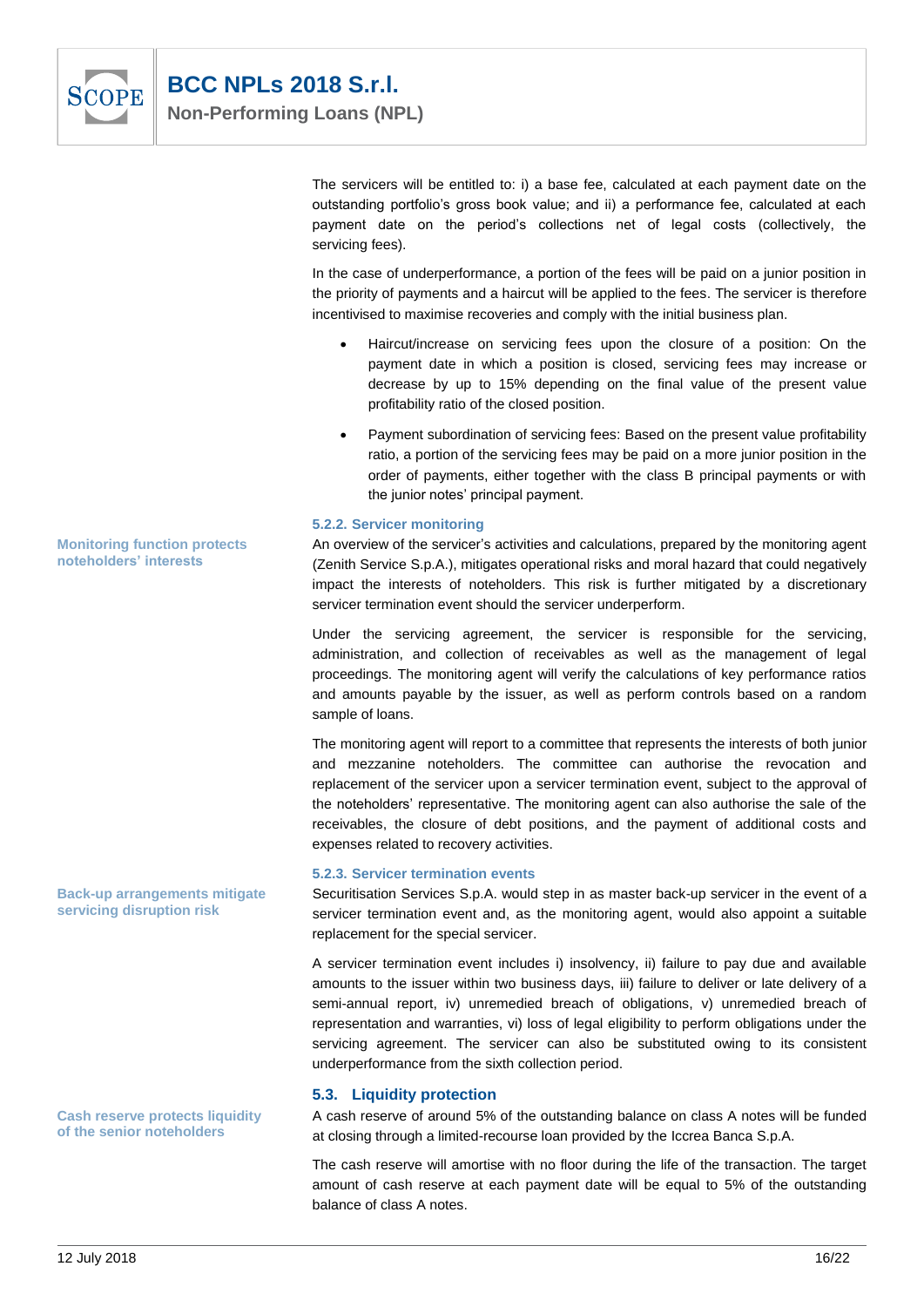

The servicers will be entitled to: i) a base fee, calculated at each payment date on the outstanding portfolio's gross book value; and ii) a performance fee, calculated at each payment date on the period's collections net of legal costs (collectively, the servicing fees).

In the case of underperformance, a portion of the fees will be paid on a junior position in the priority of payments and a haircut will be applied to the fees. The servicer is therefore incentivised to maximise recoveries and comply with the initial business plan.

- Haircut/increase on servicing fees upon the closure of a position: On the payment date in which a position is closed, servicing fees may increase or decrease by up to 15% depending on the final value of the present value profitability ratio of the closed position.
- Payment subordination of servicing fees: Based on the present value profitability ratio, a portion of the servicing fees may be paid on a more junior position in the order of payments, either together with the class B principal payments or with the junior notes' principal payment.

#### **5.2.2. Servicer monitoring**

An overview of the servicer's activities and calculations, prepared by the monitoring agent (Zenith Service S.p.A.), mitigates operational risks and moral hazard that could negatively impact the interests of noteholders. This risk is further mitigated by a discretionary servicer termination event should the servicer underperform.

Under the servicing agreement, the servicer is responsible for the servicing, administration, and collection of receivables as well as the management of legal proceedings. The monitoring agent will verify the calculations of key performance ratios and amounts payable by the issuer, as well as perform controls based on a random sample of loans.

The monitoring agent will report to a committee that represents the interests of both junior and mezzanine noteholders. The committee can authorise the revocation and replacement of the servicer upon a servicer termination event, subject to the approval of the noteholders' representative. The monitoring agent can also authorise the sale of the receivables, the closure of debt positions, and the payment of additional costs and expenses related to recovery activities.

#### **5.2.3. Servicer termination events**

Securitisation Services S.p.A. would step in as master back-up servicer in the event of a servicer termination event and, as the monitoring agent, would also appoint a suitable replacement for the special servicer.

A servicer termination event includes i) insolvency, ii) failure to pay due and available amounts to the issuer within two business days, iii) failure to deliver or late delivery of a semi-annual report, iv) unremedied breach of obligations, v) unremedied breach of representation and warranties, vi) loss of legal eligibility to perform obligations under the servicing agreement. The servicer can also be substituted owing to its consistent underperformance from the sixth collection period.

#### **5.3. Liquidity protection**

A cash reserve of around 5% of the outstanding balance on class A notes will be funded at closing through a limited-recourse loan provided by the Iccrea Banca S.p.A.

The cash reserve will amortise with no floor during the life of the transaction. The target amount of cash reserve at each payment date will be equal to 5% of the outstanding balance of class A notes.

**Monitoring function protects noteholders' interests**

**Back-up arrangements mitigate servicing disruption risk**

**Cash reserve protects liquidity of the senior noteholders**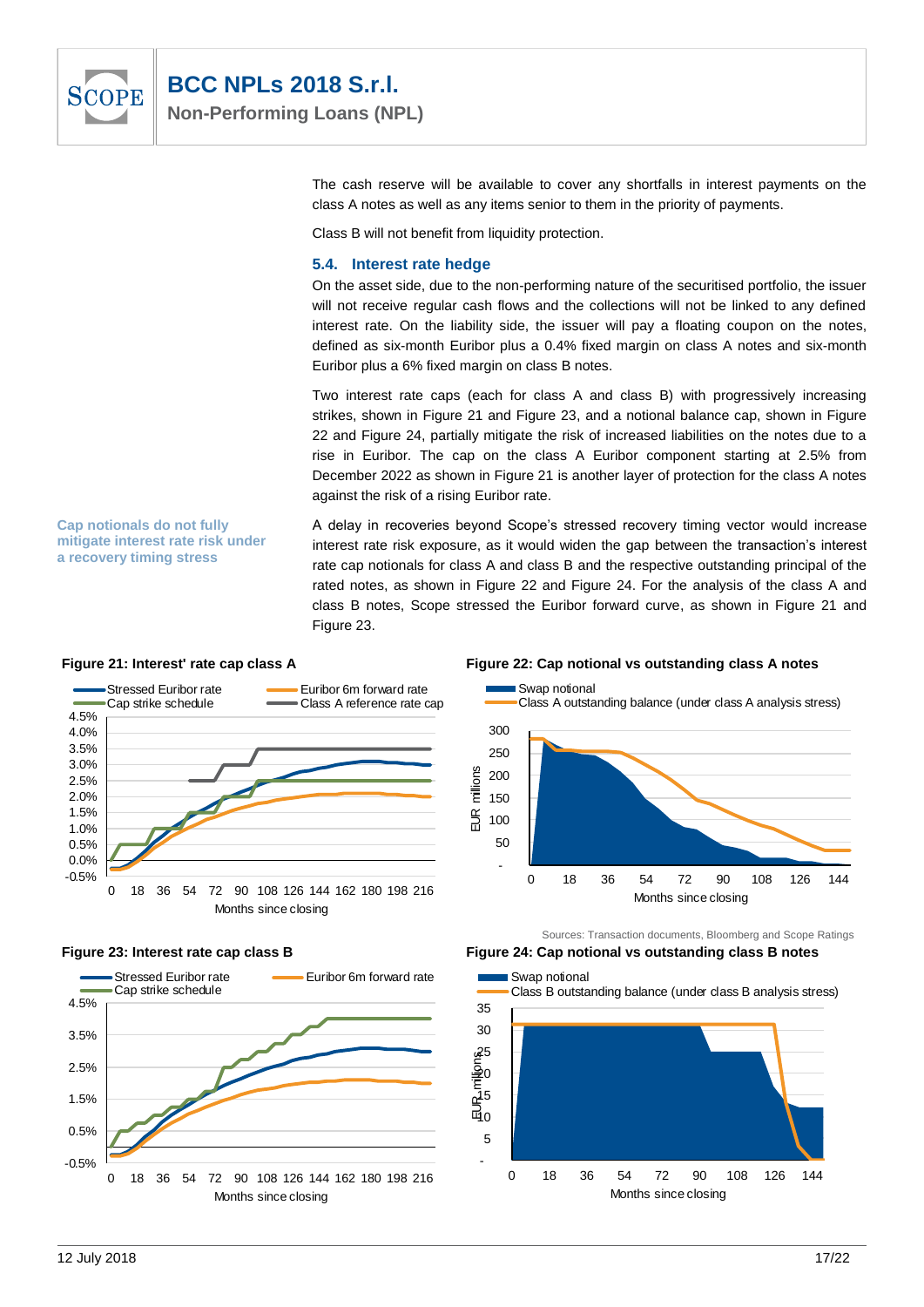

The cash reserve will be available to cover any shortfalls in interest payments on the class A notes as well as any items senior to them in the priority of payments.

Class B will not benefit from liquidity protection.

#### **5.4. Interest rate hedge**

On the asset side, due to the non-performing nature of the securitised portfolio, the issuer will not receive regular cash flows and the collections will not be linked to any defined interest rate. On the liability side, the issuer will pay a floating coupon on the notes, defined as six-month Euribor plus a 0.4% fixed margin on class A notes and six-month Euribor plus a 6% fixed margin on class B notes.

Two interest rate caps (each for class A and class B) with progressively increasing strikes, shown in Figure 21 and Figure 23, and a notional balance cap, shown in Figure 22 and Figure 24, partially mitigate the risk of increased liabilities on the notes due to a rise in Euribor. The cap on the class A Euribor component starting at 2.5% from December 2022 as shown in Figure 21 is another layer of protection for the class A notes against the risk of a rising Euribor rate.

A delay in recoveries beyond Scope's stressed recovery timing vector would increase interest rate risk exposure, as it would widen the gap between the transaction's interest rate cap notionals for class A and class B and the respective outstanding principal of the rated notes, as shown in Figure 22 and Figure 24. For the analysis of the class A and class B notes, Scope stressed the Euribor forward curve, as shown in Figure 21 and Figure 23.

#### **Figure 21: Interest' rate cap class A Figure 22: Cap notional vs outstanding class A notes**

**Cap notionals do not fully mitigate interest rate risk under a recovery timing stress**





#### **Figure 23: Interest rate cap class B Figure 24: Cap notional vs outstanding class B notes**



Sources: Transaction documents, Bloomberg and Scope Ratings

Swap notional

Class B outstanding balance (under class B analysis stress)

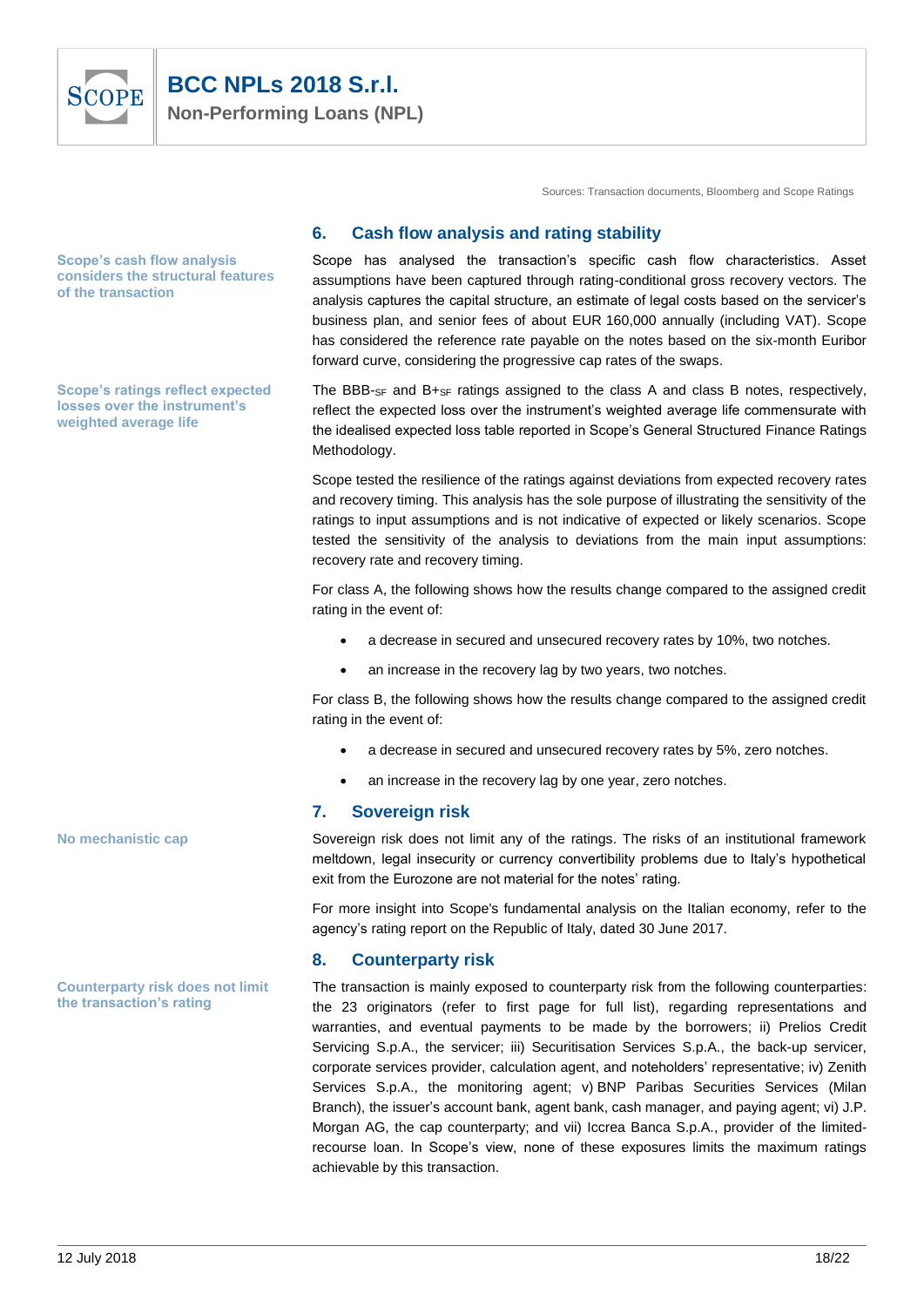

Sources: Transaction documents, Bloomberg and Scope Ratings

#### **6. Cash flow analysis and rating stability**

Scope has analysed the transaction's specific cash flow characteristics. Asset assumptions have been captured through rating-conditional gross recovery vectors. The analysis captures the capital structure, an estimate of legal costs based on the servicer's business plan, and senior fees of about EUR 160,000 annually (including VAT). Scope has considered the reference rate payable on the notes based on the six-month Euribor forward curve, considering the progressive cap rates of the swaps.

The BBB-SF and B+SF ratings assigned to the class A and class B notes, respectively, reflect the expected loss over the instrument's weighted average life commensurate with the idealised expected loss table reported in Scope's General Structured Finance Ratings Methodology.

Scope tested the resilience of the ratings against deviations from expected recovery rates and recovery timing. This analysis has the sole purpose of illustrating the sensitivity of the ratings to input assumptions and is not indicative of expected or likely scenarios. Scope tested the sensitivity of the analysis to deviations from the main input assumptions: recovery rate and recovery timing.

For class A, the following shows how the results change compared to the assigned credit rating in the event of:

- a decrease in secured and unsecured recovery rates by 10%, two notches.
- an increase in the recovery lag by two years, two notches.

For class B, the following shows how the results change compared to the assigned credit rating in the event of:

- a decrease in secured and unsecured recovery rates by 5%, zero notches.
- an increase in the recovery lag by one year, zero notches.

#### **7. Sovereign risk**

Sovereign risk does not limit any of the ratings. The risks of an institutional framework meltdown, legal insecurity or currency convertibility problems due to Italy's hypothetical exit from the Eurozone are not material for the notes' rating.

For more insight into Scope's fundamental analysis on the Italian economy, refer to the agency's rating report on the Republic of Italy, dated 30 June 2017.

#### **8. Counterparty risk**

The transaction is mainly exposed to counterparty risk from the following counterparties: the 23 originators (refer to first page for full list), regarding representations and warranties, and eventual payments to be made by the borrowers; ii) Prelios Credit Servicing S.p.A., the servicer; iii) Securitisation Services S.p.A., the back-up servicer, corporate services provider, calculation agent, and noteholders' representative; iv) Zenith Services S.p.A., the monitoring agent; v) BNP Paribas Securities Services (Milan Branch), the issuer's account bank, agent bank, cash manager, and paying agent; vi) J.P. Morgan AG, the cap counterparty; and vii) Iccrea Banca S.p.A., provider of the limitedrecourse loan. In Scope's view, none of these exposures limits the maximum ratings achievable by this transaction.

**Scope's cash flow analysis considers the structural features of the transaction**

**Scope's ratings reflect expected losses over the instrument's weighted average life**

**No mechanistic cap**

**Counterparty risk does not limit the transaction's rating**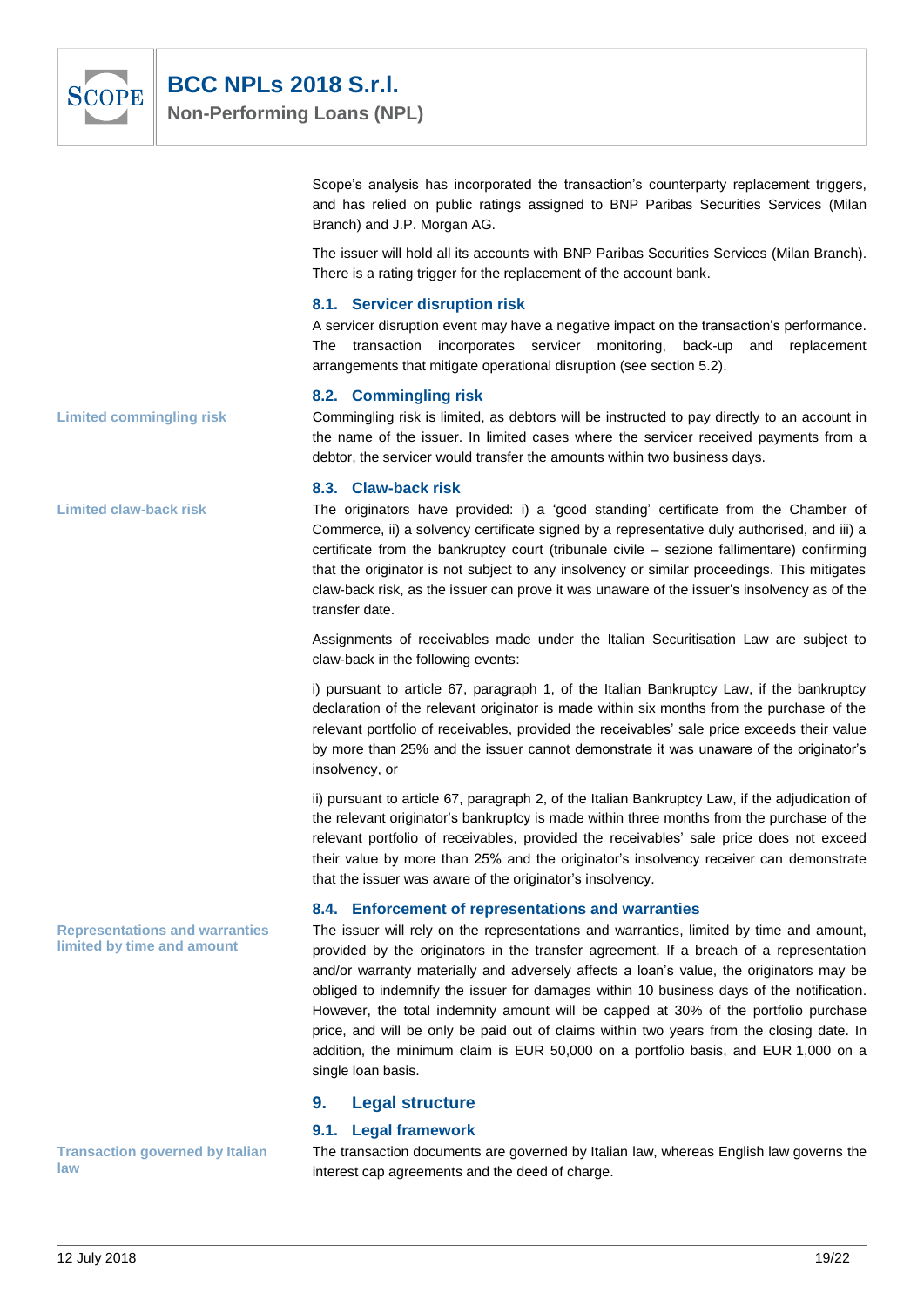

Scope's analysis has incorporated the transaction's counterparty replacement triggers, and has relied on public ratings assigned to BNP Paribas Securities Services (Milan Branch) and J.P. Morgan AG.

The issuer will hold all its accounts with BNP Paribas Securities Services (Milan Branch). There is a rating trigger for the replacement of the account bank.

#### **8.1. Servicer disruption risk**

A servicer disruption event may have a negative impact on the transaction's performance. The transaction incorporates servicer monitoring, back-up and replacement arrangements that mitigate operational disruption (see section 5.2).

#### **8.2. Commingling risk**

Commingling risk is limited, as debtors will be instructed to pay directly to an account in the name of the issuer. In limited cases where the servicer received payments from a debtor, the servicer would transfer the amounts within two business days.

#### **8.3. Claw-back risk**

The originators have provided: i) a 'good standing' certificate from the Chamber of Commerce, ii) a solvency certificate signed by a representative duly authorised, and iii) a certificate from the bankruptcy court (tribunale civile – sezione fallimentare) confirming that the originator is not subject to any insolvency or similar proceedings. This mitigates claw-back risk, as the issuer can prove it was unaware of the issuer's insolvency as of the transfer date.

Assignments of receivables made under the Italian Securitisation Law are subject to claw-back in the following events:

i) pursuant to article 67, paragraph 1, of the Italian Bankruptcy Law, if the bankruptcy declaration of the relevant originator is made within six months from the purchase of the relevant portfolio of receivables, provided the receivables' sale price exceeds their value by more than 25% and the issuer cannot demonstrate it was unaware of the originator's insolvency, or

ii) pursuant to article 67, paragraph 2, of the Italian Bankruptcy Law, if the adjudication of the relevant originator's bankruptcy is made within three months from the purchase of the relevant portfolio of receivables, provided the receivables' sale price does not exceed their value by more than 25% and the originator's insolvency receiver can demonstrate that the issuer was aware of the originator's insolvency.

#### **8.4. Enforcement of representations and warranties**

The issuer will rely on the representations and warranties, limited by time and amount, provided by the originators in the transfer agreement. If a breach of a representation and/or warranty materially and adversely affects a loan's value, the originators may be obliged to indemnify the issuer for damages within 10 business days of the notification. However, the total indemnity amount will be capped at 30% of the portfolio purchase price, and will be only be paid out of claims within two years from the closing date. In addition, the minimum claim is EUR 50,000 on a portfolio basis, and EUR 1,000 on a single loan basis.

#### **9. Legal structure**

#### **9.1. Legal framework**

The transaction documents are governed by Italian law, whereas English law governs the interest cap agreements and the deed of charge.

**Limited commingling risk**

**Limited claw-back risk**

**Representations and warranties limited by time and amount**

**Transaction governed by Italian law**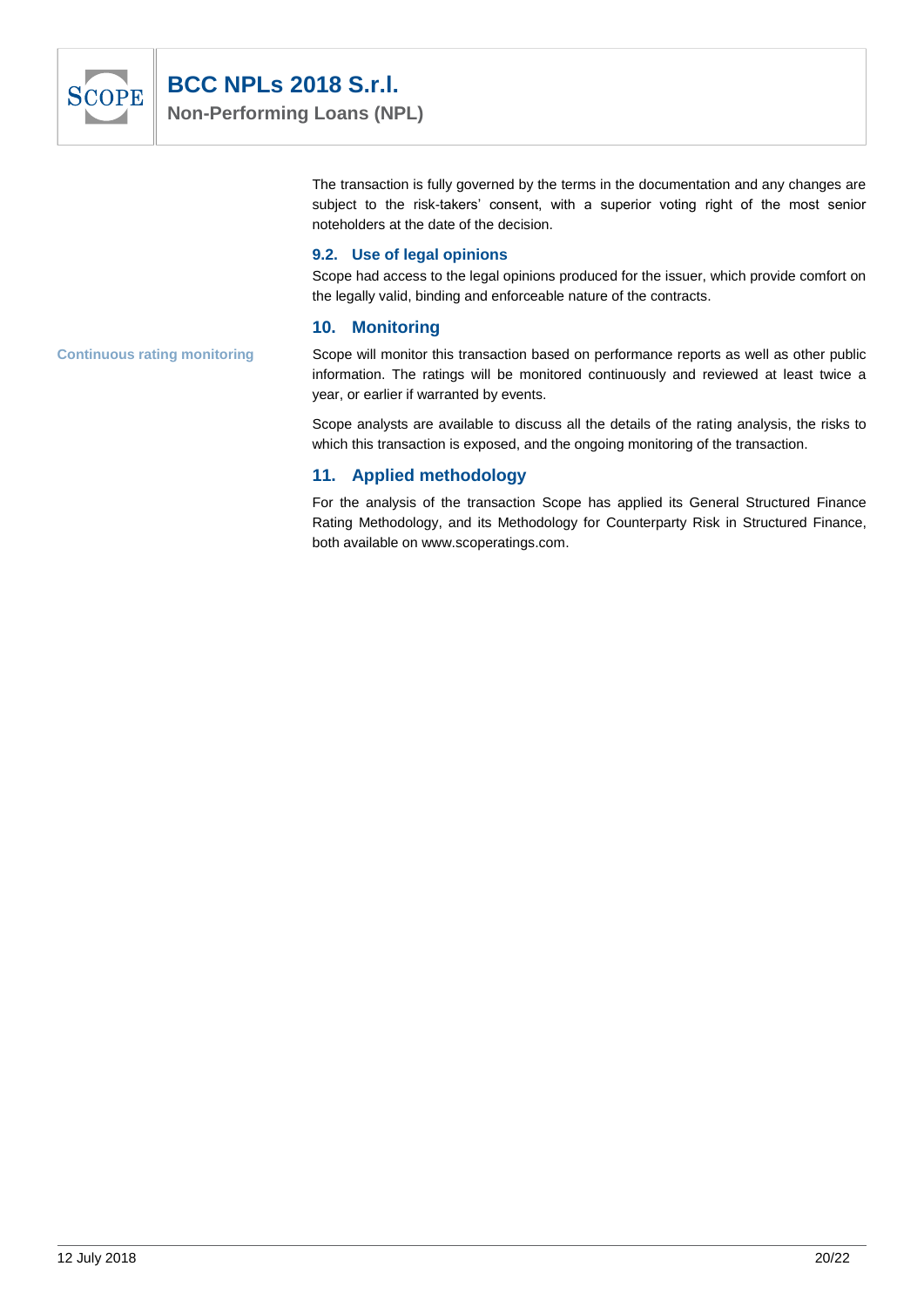

The transaction is fully governed by the terms in the documentation and any changes are subject to the risk-takers' consent, with a superior voting right of the most senior noteholders at the date of the decision.

#### **9.2. Use of legal opinions**

Scope had access to the legal opinions produced for the issuer, which provide comfort on the legally valid, binding and enforceable nature of the contracts.

#### **10. Monitoring**

Scope will monitor this transaction based on performance reports as well as other public information. The ratings will be monitored continuously and reviewed at least twice a year, or earlier if warranted by events.

Scope analysts are available to discuss all the details of the rating analysis, the risks to which this transaction is exposed, and the ongoing monitoring of the transaction.

## **11. Applied methodology**

For the analysis of the transaction Scope has applied its General Structured Finance Rating Methodology, and its Methodology for Counterparty Risk in Structured Finance, both available on www.scoperatings.com.

**Continuous rating monitoring**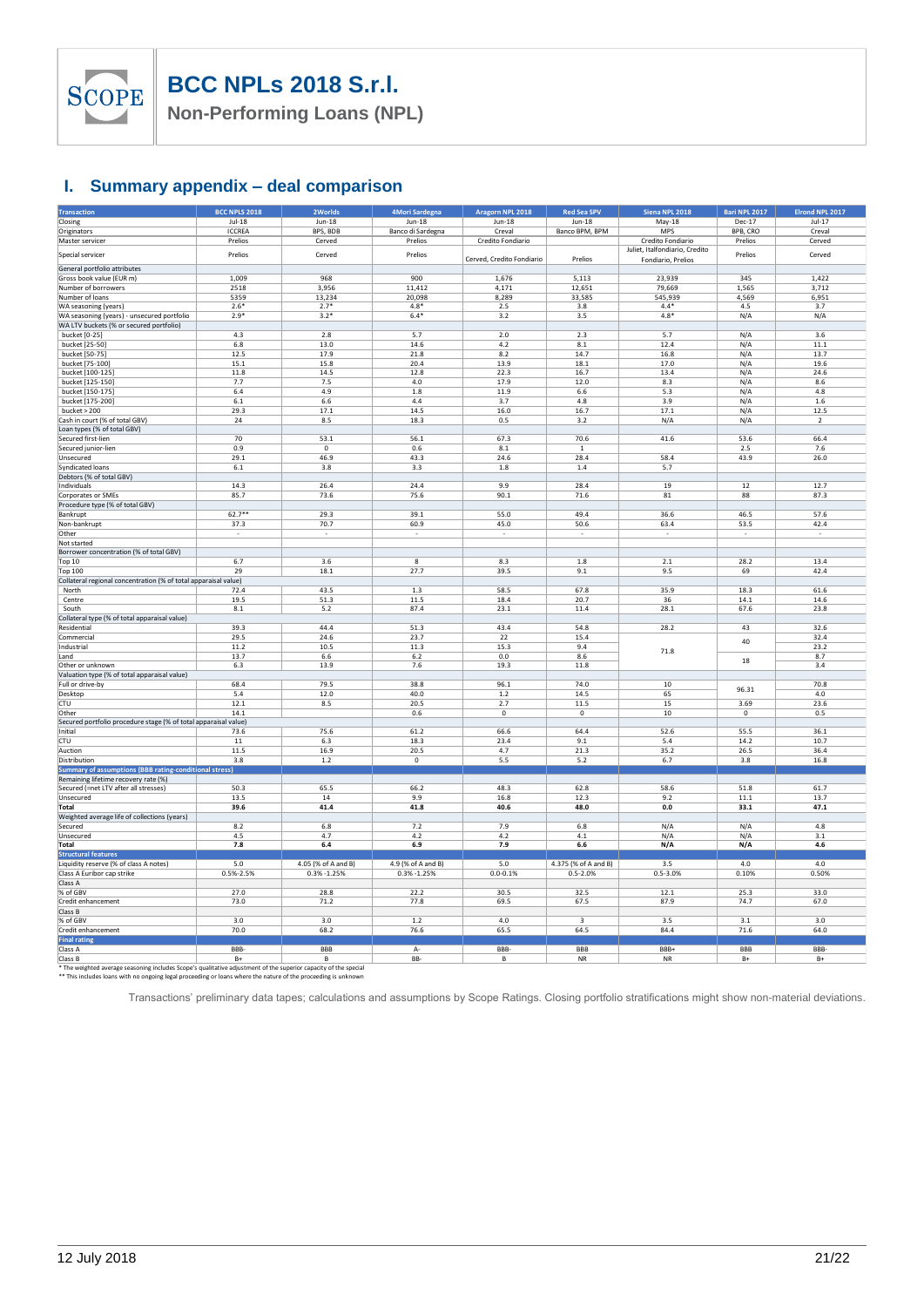

**Non-Performing Loans (NPL)**

## **I. Summary appendix – deal comparison**

| <b>Transaction</b>                                                                           | <b>BCC NPLS 2018</b> | 2Worlds             | 4Mori Sardegna           | Aragorn NPL 2018          | <b>Red Sea SPV</b>   | Siena NPL 2018                 | Bari NPL 2017            | Elrond NPL 2017 |
|----------------------------------------------------------------------------------------------|----------------------|---------------------|--------------------------|---------------------------|----------------------|--------------------------------|--------------------------|-----------------|
| Closing                                                                                      | $Jul-18$             | $Jun-18$            | $Jun-18$                 | $Jun-18$                  | $Jun-18$             | May-18                         | Dec-17                   | $Jul-17$        |
| Originators                                                                                  | <b>ICCREA</b>        | BPS, BDB            | Banco di Sardegna        | Creval                    | Banco BPM, BPM       | MPS                            | BPB, CRO                 | Creval          |
| Master servicer                                                                              | Prelios              | Cerved              | Prelios                  | Credito Fondiario         |                      | Credito Fondiario              | Prelios                  | Cerved          |
|                                                                                              |                      |                     |                          |                           |                      | Juliet, Italfondiario, Credito |                          |                 |
| Special servicer                                                                             | Prelios              | Cerved              | Prelios                  | Cerved, Credito Fondiario | Prelios              | Fondiario, Prelios             | Prelios                  | Cerved          |
| General portfolio attributes                                                                 |                      |                     |                          |                           |                      |                                |                          |                 |
| Gross book value (EUR m)                                                                     | 1.009                | 968                 | 900                      | 1,676                     | 5,113                | 23,939                         | 345                      | 1.422           |
| Number of borrowers                                                                          | 2518                 | 3,956               | 11,412                   | 4.171                     | 12,651               | 79,669                         | 1,565                    | 3,712           |
|                                                                                              |                      |                     |                          |                           |                      |                                |                          |                 |
| Number of loans                                                                              | 5359                 | 13,234              | 20,098                   | 8,289                     | 33,585               | 545,939                        | 4,569                    | 6,951           |
| WA seasoning (years)                                                                         | $2.6*$               | $2.7*$              | $4.8*$                   | 2.5                       | 3.8                  | $4.4*$                         | 4.5                      | 3.7             |
| WA seasoning (years) - unsecured portfolio                                                   | $2.9*$               | $3.2*$              | $6.4*$                   | 3.2                       | 3.5                  | $4.8*$                         | N/A                      | N/A             |
| WA LTV buckets (% or secured portfolio)                                                      |                      |                     |                          |                           |                      |                                |                          |                 |
| bucket [0-25]                                                                                | 4.3                  | 2.8                 | 5.7                      | $2.0$                     | 2.3                  | 5.7                            | N/A                      | 3.6             |
| bucket [25-50]                                                                               | 6.8                  | 13.0                | 14.6                     | 4.2                       | 8.1                  | 12.4                           | N/A                      | 11.1            |
| bucket [50-75]                                                                               | 12.5                 | 17.9                | 21.8                     | 8.2                       | 14.7                 | 16.8                           | N/A                      | 13.7            |
| bucket [75-100]                                                                              | 15.1                 | 15.8                | 20.4                     | 13.9                      | 18.1                 | 17.0                           | N/A                      | 19.6            |
| bucket [100-125]                                                                             | 11.8                 | 14.5                | 12.8                     | 22.3                      | 16.7                 | 13.4                           | N/A                      | 24.6            |
| bucket [125-150]                                                                             | 7.7                  | 7.5                 | 4.0                      | 17.9                      | 12.0                 | 8.3                            | N/A                      | 8.6             |
| bucket [150-175]                                                                             | 6.4                  | 4.9                 | $1.8\,$                  | 11.9                      | $6.6\,$              | 5.3                            | N/A                      | 4.8             |
|                                                                                              |                      |                     |                          |                           |                      |                                |                          |                 |
| bucket [175-200]                                                                             | $6.1\,$<br>29.3      | $6.6\,$             | 4.4<br>14.5              | 3.7                       | 4.8<br>16.7          | 3.9<br>17.1                    | N/A                      | 1.6<br>12.5     |
| bucket > 200                                                                                 |                      | 17.1                |                          | 16.0                      |                      |                                | N/A                      |                 |
| Cash in court (% of total GBV)                                                               | 24                   | 8.5                 | 18.3                     | 0.5                       | 3.2                  | N/A                            | N/A                      | $\overline{2}$  |
| Loan types (% of total GBV)                                                                  |                      |                     |                          |                           |                      |                                |                          |                 |
| Secured first-lien                                                                           | 70                   | 53.1                | 56.1                     | 67.3                      | 70.6                 | 41.6                           | 53.6                     | 66.4            |
| Secured junior-lien                                                                          | 0.9                  | $\mathbf 0$         | 0.6                      | 8.1                       | 1                    |                                | 2.5                      | 7.6             |
| Unsecured                                                                                    | 29.1                 | 46.9                | 43.3                     | 24.6                      | 28.4                 | 58.4                           | 43.9                     | 26.0            |
| Syndicated loans                                                                             | $6.1\,$              | 3.8                 | 3.3                      | 1.8                       | 1.4                  | 5.7                            |                          |                 |
| Debtors (% of total GBV)                                                                     |                      |                     |                          |                           |                      |                                |                          |                 |
| Individuals                                                                                  | 14.3                 | 26.4                | 24.4                     | 9.9                       | 28.4                 | 19                             | 12                       | 12.7            |
| Corporates or SMEs                                                                           | 85.7                 | 73.6                | 75.6                     | 90.1                      | 71.6                 | 81                             | 88                       | 87.3            |
| Procedure type (% of total GBV)                                                              |                      |                     |                          |                           |                      |                                |                          |                 |
|                                                                                              | $62.7**$             | 29.3                | 39.1                     | 55.0                      | 49.4                 | 36.6                           | 46.5                     | 57.6            |
| Bankrupt                                                                                     |                      |                     |                          |                           |                      |                                |                          |                 |
| Non-bankrupt                                                                                 | 37.3                 | 70.7                | 60.9                     | 45.0                      | 50.6                 | 63.4                           | 53.5                     | 42.4            |
| Other                                                                                        | $\sim$               | $\sim$              | $\overline{\phantom{a}}$ | $\sim$                    | $\cdot$              | $\overline{\phantom{a}}$       | $\overline{\phantom{a}}$ | $\cdot$         |
| Not started                                                                                  |                      |                     |                          |                           |                      |                                |                          |                 |
| Borrower concentration (% of total GBV)                                                      |                      |                     |                          |                           |                      |                                |                          |                 |
| Top 10                                                                                       | 6.7                  | 3.6                 | 8                        | 8.3                       | 1.8                  | 2.1                            | 28.2                     | 13.4            |
| Top 100                                                                                      | 29                   | 18.1                | 27.7                     | 39.5                      | 9.1                  | 9.5                            | 69                       | 42.4            |
| Collateral regional concentration (% of total apparaisal value)                              |                      |                     |                          |                           |                      |                                |                          |                 |
| North                                                                                        | 72.4                 | 43.5                | $1.3\,$                  | 58.5                      | 67.8                 | 35.9                           | 18.3                     | 61.6            |
| Centre                                                                                       | 19.5                 | 51.3                | 11.5                     | 18.4                      | 20.7                 | 36                             | 14.1                     | 14.6            |
| South                                                                                        | 8.1                  | 5.2                 | 87.4                     | 23.1                      | 11.4                 | 28.1                           | 67.6                     | 23.8            |
| Collateral type (% of total apparaisal value)                                                |                      |                     |                          |                           |                      |                                |                          |                 |
| Residential                                                                                  | 39.3                 | 44.4                | 51.3                     | 43.4                      | 54.8                 | 28.2                           | 43                       | 32.6            |
|                                                                                              |                      |                     |                          |                           |                      |                                |                          |                 |
| Commercial                                                                                   | 29.5                 | 24.6                | 23.7                     | 22                        | 15.4                 |                                | 40                       | 32.4            |
| Industrial                                                                                   | 11.2                 | 10.5                | 11.3                     | 15.3                      | 9.4                  | 71.8                           |                          | 23.2            |
| Land                                                                                         | 13.7                 | $6.6\,$             | 6.2                      | 0.0                       | 8.6                  |                                | 18                       | 8.7             |
| Other or unknown                                                                             | 6.3                  | 13.9                | 7.6                      | 19.3                      | 11.8                 |                                |                          | 3.4             |
| Valuation type (% of total apparaisal value)                                                 |                      |                     |                          |                           |                      |                                |                          |                 |
| Full or drive-by                                                                             | 68.4                 | 79.5                | 38.8                     | 96.1                      | 74.0                 | $10$                           |                          | 70.8            |
| Desktop                                                                                      | 5.4                  | 12.0                | 40.0                     | $1.2$                     | 14.5                 | 65                             | 96.31                    | 4.0             |
| CTU                                                                                          | 12.1                 | 8.5                 | 20.5                     | 2.7                       | 11.5                 | 15                             | 3.69                     | 23.6            |
| Other                                                                                        | 14.1                 |                     | 0.6                      | $\mathsf 0$               | $\mathbf 0$          | 10                             | $\mathbf 0$              | 0.5             |
| Secured portfolio procedure stage (% of total apparaisal value)                              |                      |                     |                          |                           |                      |                                |                          |                 |
| <b>Initial</b>                                                                               | 73.6                 | 75.6                | 61.2                     | 66.6                      | 64.4                 | 52.6                           | 55.5                     | 36.1            |
| CTU                                                                                          | $11\,$               | 6.3                 | 18.3                     | 23.4                      | 9.1                  | 5.4                            | 14.2                     | 10.7            |
| Auction                                                                                      | 11.5                 | 16.9                | 20.5                     | 4.7                       | 21.3                 | 35.2                           | 26.5                     | 36.4            |
|                                                                                              |                      |                     |                          |                           |                      |                                |                          |                 |
| Distribution                                                                                 | 3.8                  | $1.2\,$             | $\mathbf 0$              | 5.5                       | 5.2                  | 6.7                            | 3.8                      | 16.8            |
| Summary of assumptions (BBB rating-conditional stress)                                       |                      |                     |                          |                           |                      |                                |                          |                 |
| Remaining lifetime recovery rate (%)                                                         |                      |                     |                          |                           |                      |                                |                          |                 |
| Secured (=net LTV after all stresses)                                                        | 50.3                 | 65.5                | 66.2                     | 48.3                      | 62.8                 | 58.6                           | 51.8                     | 61.7            |
| Unsecured                                                                                    | 13.5                 | 14                  | 9.9                      | 16.8                      | 12.3                 | 9.2                            | 11.1                     | 13.7            |
| Total                                                                                        | 39.6                 | 41.4                | 41.8                     | 40.6                      | 48.0                 | 0.0                            | 33.1                     | 47.1            |
| Weighted average life of collections (years)                                                 |                      |                     |                          |                           |                      |                                |                          |                 |
| Secured                                                                                      | 8.2                  | 6.8                 | 7.2                      | 7.9                       | 6.8                  | N/A                            | N/A                      | 4.8             |
| Unsecured                                                                                    | 4.5                  | 4.7                 | 4.2                      | 4.2                       | 4.1                  | N/A                            | N/A                      | 3.1             |
| <b>Total</b>                                                                                 | 7.8                  | $6.4$               | 6.9                      | 7.9                       | $6.6\,$              | N/A                            | N/A                      | 4.6             |
| <b>Structural features</b>                                                                   |                      |                     |                          |                           |                      |                                |                          |                 |
| Liquidity reserve (% of class A notes)                                                       | 5.0                  | 4.05 (% of A and B) | 4.9 (% of A and B)       | 5.0                       | 4.375 (% of A and B) | 3.5                            | 4.0                      | 4.0             |
| Class A Euribor cap strike                                                                   | 0.5%-2.5%            | $0.3\% -1.25\%$     | 0.3% -1.25%              | $0.0 - 0.1%$              | $0.5 - 2.0%$         | $0.5 - 3.0%$                   | 0.10%                    | 0.50%           |
|                                                                                              |                      |                     |                          |                           |                      |                                |                          |                 |
| Class A                                                                                      |                      |                     |                          |                           |                      |                                |                          |                 |
| % of GBV                                                                                     | 27.0                 | 28.8                | 22.2                     | 30.5                      | 32.5                 | 12.1                           | 25.3                     | 33.0            |
| Credit enhancement                                                                           | 73.0                 | 71.2                | 77.8                     | 69.5                      | 67.5                 | 87.9                           | 74.7                     | 67.0            |
| Class B                                                                                      |                      |                     |                          |                           |                      |                                |                          |                 |
| % of GBV                                                                                     | 3.0                  | 3.0                 | $1.2\,$                  | 4.0                       | 3                    | 3.5                            | 3.1                      | 3.0             |
| Credit enhancement                                                                           | 70.0                 | 68.2                | 76.6                     | 65.5                      | 64.5                 | 84.4                           | 71.6                     | 64.0            |
| <b>Final rating</b>                                                                          |                      |                     |                          |                           |                      |                                |                          |                 |
| Class A                                                                                      | BBB-                 | BBB                 | А-                       | BBB-                      | <b>BBB</b>           | BBB+                           | <b>BBB</b>               | BBB-            |
| Class B                                                                                      | $B+$                 | в                   | BB-                      | B                         | <b>NR</b>            | <b>NR</b>                      | $B+$                     | $B+$            |
| The weighted average seasoning includes Scone's qualitative adjustment of the superior canal |                      | ity of the special  |                          |                           |                      |                                |                          |                 |

\* The weighted average seasoning includes Scope's qualitative adjustment of the superior capacity of the special<br>\*\* This includes loans with no ongoing legal proceeding or loans where the nature of the proceeding is unknow

Transactions' preliminary data tapes; calculations and assumptions by Scope Ratings. Closing portfolio stratifications might show non-material deviations.